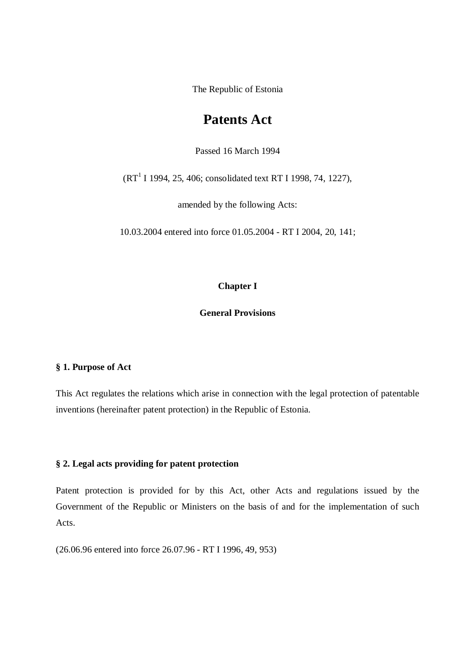The Republic of Estonia

# **Patents Act**

Passed 16 March 1994

 $(RT<sup>1</sup> I 1994, 25, 406; consolidated text RT I 1998, 74, 1227),$ 

amended by the following Acts:

10.03.2004 entered into force 01.05.2004 - RT I 2004, 20, 141;

## **Chapter I**

**General Provisions**

## **§ 1. Purpose of Act**

This Act regulates the relations which arise in connection with the legal protection of patentable inventions (hereinafter patent protection) in the Republic of Estonia.

## **§ 2. Legal acts providing for patent protection**

Patent protection is provided for by this Act, other Acts and regulations issued by the Government of the Republic or Ministers on the basis of and for the implementation of such Acts.

(26.06.96 entered into force 26.07.96 - RT I 1996, 49, 953)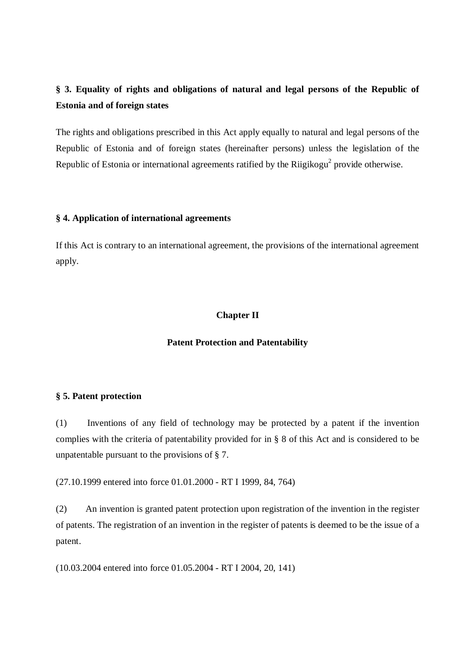# **§ 3. Equality of rights and obligations of natural and legal persons of the Republic of Estonia and of foreign states**

The rights and obligations prescribed in this Act apply equally to natural and legal persons of the Republic of Estonia and of foreign states (hereinafter persons) unless the legislation of the Republic of Estonia or international agreements ratified by the Riigikogu<sup>2</sup> provide otherwise.

## **§ 4. Application of international agreements**

If this Act is contrary to an international agreement, the provisions of the international agreement apply.

# **Chapter II**

## **Patent Protection and Patentability**

## **§ 5. Patent protection**

(1) Inventions of any field of technology may be protected by a patent if the invention complies with the criteria of patentability provided for in § 8 of this Act and is considered to be unpatentable pursuant to the provisions of § 7.

(27.10.1999 entered into force 01.01.2000 - RT I 1999, 84, 764)

(2) An invention is granted patent protection upon registration of the invention in the register of patents. The registration of an invention in the register of patents is deemed to be the issue of a patent.

(10.03.2004 entered into force 01.05.2004 - RT I 2004, 20, 141)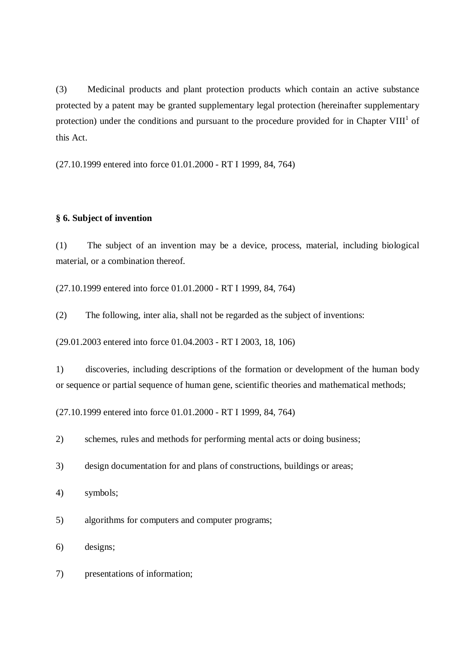(3) Medicinal products and plant protection products which contain an active substance protected by a patent may be granted supplementary legal protection (hereinafter supplementary protection) under the conditions and pursuant to the procedure provided for in Chapter VIII<sup>1</sup> of this Act.

(27.10.1999 entered into force 01.01.2000 - RT I 1999, 84, 764)

#### **§ 6. Subject of invention**

(1) The subject of an invention may be a device, process, material, including biological material, or a combination thereof.

(27.10.1999 entered into force 01.01.2000 - RT I 1999, 84, 764)

(2) The following, inter alia, shall not be regarded as the subject of inventions:

(29.01.2003 entered into force 01.04.2003 - RT I 2003, 18, 106)

1) discoveries, including descriptions of the formation or development of the human body or sequence or partial sequence of human gene, scientific theories and mathematical methods;

(27.10.1999 entered into force 01.01.2000 - RT I 1999, 84, 764)

2) schemes, rules and methods for performing mental acts or doing business;

- 3) design documentation for and plans of constructions, buildings or areas;
- 4) symbols;

5) algorithms for computers and computer programs;

6) designs;

7) presentations of information;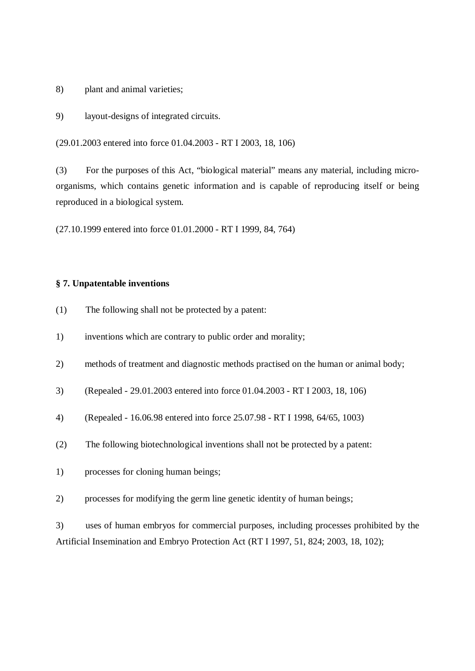8) plant and animal varieties;

9) layout-designs of integrated circuits.

(29.01.2003 entered into force 01.04.2003 - RT I 2003, 18, 106)

(3) For the purposes of this Act, "biological material" means any material, including microorganisms, which contains genetic information and is capable of reproducing itself or being reproduced in a biological system.

(27.10.1999 entered into force 01.01.2000 - RT I 1999, 84, 764)

## **§ 7. Unpatentable inventions**

- (1) The following shall not be protected by a patent:
- 1) inventions which are contrary to public order and morality;
- 2) methods of treatment and diagnostic methods practised on the human or animal body;
- 3) (Repealed 29.01.2003 entered into force 01.04.2003 RT I 2003, 18, 106)
- 4) (Repealed 16.06.98 entered into force 25.07.98 RT I 1998, 64/65, 1003)
- (2) The following biotechnological inventions shall not be protected by a patent:
- 1) processes for cloning human beings;
- 2) processes for modifying the germ line genetic identity of human beings;

3) uses of human embryos for commercial purposes, including processes prohibited by the Artificial Insemination and Embryo Protection Act (RT I 1997, 51, 824; 2003, 18, 102);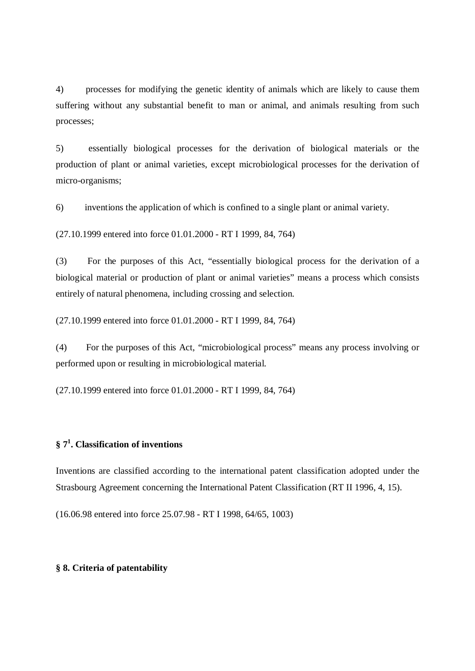4) processes for modifying the genetic identity of animals which are likely to cause them suffering without any substantial benefit to man or animal, and animals resulting from such processes;

5) essentially biological processes for the derivation of biological materials or the production of plant or animal varieties, except microbiological processes for the derivation of micro-organisms;

6) inventions the application of which is confined to a single plant or animal variety.

(27.10.1999 entered into force 01.01.2000 - RT I 1999, 84, 764)

(3) For the purposes of this Act, "essentially biological process for the derivation of a biological material or production of plant or animal varieties" means a process which consists entirely of natural phenomena, including crossing and selection.

(27.10.1999 entered into force 01.01.2000 - RT I 1999, 84, 764)

(4) For the purposes of this Act, "microbiological process" means any process involving or performed upon or resulting in microbiological material.

(27.10.1999 entered into force 01.01.2000 - RT I 1999, 84, 764)

# **§ 7 1 . Classification of inventions**

Inventions are classified according to the international patent classification adopted under the Strasbourg Agreement concerning the International Patent Classification (RT II 1996, 4, 15).

(16.06.98 entered into force 25.07.98 - RT I 1998, 64/65, 1003)

### **§ 8. Criteria of patentability**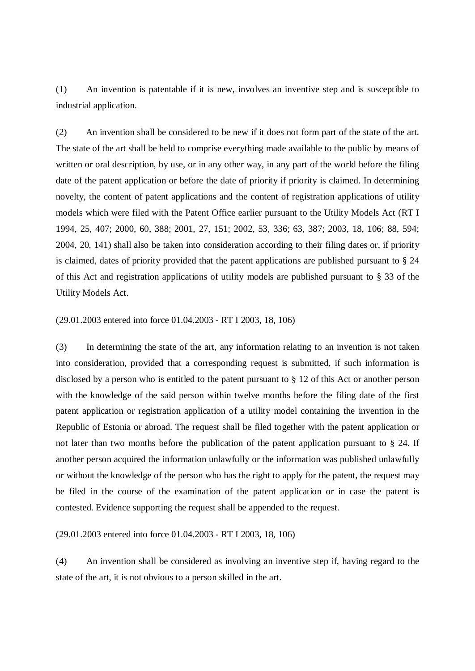(1) An invention is patentable if it is new, involves an inventive step and is susceptible to industrial application.

(2) An invention shall be considered to be new if it does not form part of the state of the art. The state of the art shall be held to comprise everything made available to the public by means of written or oral description, by use, or in any other way, in any part of the world before the filing date of the patent application or before the date of priority if priority is claimed. In determining novelty, the content of patent applications and the content of registration applications of utility models which were filed with the Patent Office earlier pursuant to the Utility Models Act (RT I 1994, 25, 407; 2000, 60, 388; 2001, 27, 151; 2002, 53, 336; 63, 387; 2003, 18, 106; 88, 594; 2004, 20, 141) shall also be taken into consideration according to their filing dates or, if priority is claimed, dates of priority provided that the patent applications are published pursuant to § 24 of this Act and registration applications of utility models are published pursuant to § 33 of the Utility Models Act.

(29.01.2003 entered into force 01.04.2003 - RT I 2003, 18, 106)

(3) In determining the state of the art, any information relating to an invention is not taken into consideration, provided that a corresponding request is submitted, if such information is disclosed by a person who is entitled to the patent pursuant to § 12 of this Act or another person with the knowledge of the said person within twelve months before the filing date of the first patent application or registration application of a utility model containing the invention in the Republic of Estonia or abroad. The request shall be filed together with the patent application or not later than two months before the publication of the patent application pursuant to § 24. If another person acquired the information unlawfully or the information was published unlawfully or without the knowledge of the person who has the right to apply for the patent, the request may be filed in the course of the examination of the patent application or in case the patent is contested. Evidence supporting the request shall be appended to the request.

(29.01.2003 entered into force 01.04.2003 - RT I 2003, 18, 106)

(4) An invention shall be considered as involving an inventive step if, having regard to the state of the art, it is not obvious to a person skilled in the art.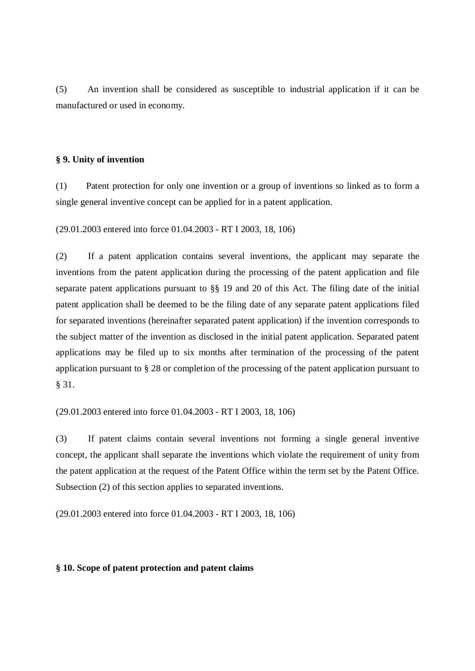(5) An invention shall be considered as susceptible to industrial application if it can be manufactured or used in economy.

### **§ 9. Unity of invention**

(1) Patent protection for only one invention or a group of inventions so linked as to form a single general inventive concept can be applied for in a patent application.

(29.01.2003 entered into force 01.04.2003 - RT I 2003, 18, 106)

(2) If a patent application contains several inventions, the applicant may separate the inventions from the patent application during the processing of the patent application and file separate patent applications pursuant to §§ 19 and 20 of this Act. The filing date of the initial patent application shall be deemed to be the filing date of any separate patent applications filed for separated inventions (hereinafter separated patent application) if the invention corresponds to the subject matter of the invention as disclosed in the initial patent application. Separated patent applications may be filed up to six months after termination of the processing of the patent application pursuant to § 28 or completion of the processing of the patent application pursuant to § 31.

(29.01.2003 entered into force 01.04.2003 - RT I 2003, 18, 106)

(3) If patent claims contain several inventions not forming a single general inventive concept, the applicant shall separate the inventions which violate the requirement of unity from the patent application at the request of the Patent Office within the term set by the Patent Office. Subsection (2) of this section applies to separated inventions.

(29.01.2003 entered into force 01.04.2003 - RT I 2003, 18, 106)

#### **§ 10. Scope of patent protection and patent claims**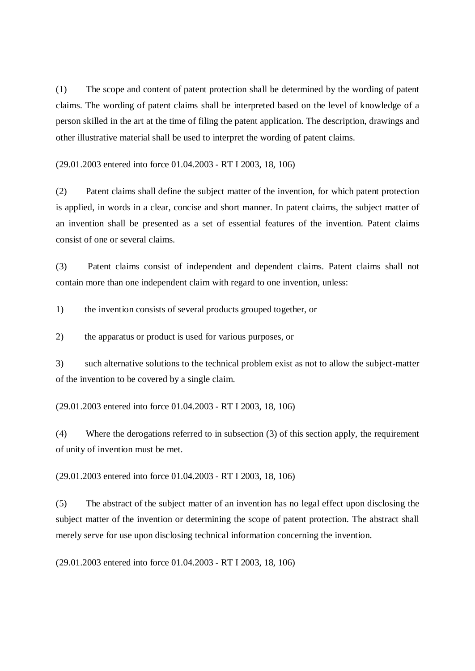(1) The scope and content of patent protection shall be determined by the wording of patent claims. The wording of patent claims shall be interpreted based on the level of knowledge of a person skilled in the art at the time of filing the patent application. The description, drawings and other illustrative material shall be used to interpret the wording of patent claims.

(29.01.2003 entered into force 01.04.2003 - RT I 2003, 18, 106)

(2) Patent claims shall define the subject matter of the invention, for which patent protection is applied, in words in a clear, concise and short manner. In patent claims, the subject matter of an invention shall be presented as a set of essential features of the invention. Patent claims consist of one or several claims.

(3) Patent claims consist of independent and dependent claims. Patent claims shall not contain more than one independent claim with regard to one invention, unless:

1) the invention consists of several products grouped together, or

2) the apparatus or product is used for various purposes, or

3) such alternative solutions to the technical problem exist as not to allow the subject-matter of the invention to be covered by a single claim.

(29.01.2003 entered into force 01.04.2003 - RT I 2003, 18, 106)

(4) Where the derogations referred to in subsection (3) of this section apply, the requirement of unity of invention must be met.

(29.01.2003 entered into force 01.04.2003 - RT I 2003, 18, 106)

(5) The abstract of the subject matter of an invention has no legal effect upon disclosing the subject matter of the invention or determining the scope of patent protection. The abstract shall merely serve for use upon disclosing technical information concerning the invention.

(29.01.2003 entered into force 01.04.2003 - RT I 2003, 18, 106)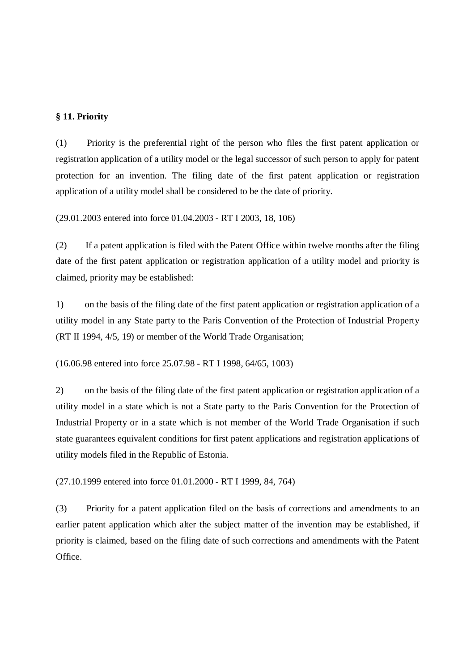## **§ 11. Priority**

(1) Priority is the preferential right of the person who files the first patent application or registration application of a utility model or the legal successor of such person to apply for patent protection for an invention. The filing date of the first patent application or registration application of a utility model shall be considered to be the date of priority.

(29.01.2003 entered into force 01.04.2003 - RT I 2003, 18, 106)

(2) If a patent application is filed with the Patent Office within twelve months after the filing date of the first patent application or registration application of a utility model and priority is claimed, priority may be established:

1) on the basis of the filing date of the first patent application or registration application of a utility model in any State party to the Paris Convention of the Protection of Industrial Property (RT II 1994, 4/5, 19) or member of the World Trade Organisation;

(16.06.98 entered into force 25.07.98 - RT I 1998, 64/65, 1003)

2) on the basis of the filing date of the first patent application or registration application of a utility model in a state which is not a State party to the Paris Convention for the Protection of Industrial Property or in a state which is not member of the World Trade Organisation if such state guarantees equivalent conditions for first patent applications and registration applications of utility models filed in the Republic of Estonia.

(27.10.1999 entered into force 01.01.2000 - RT I 1999, 84, 764)

(3) Priority for a patent application filed on the basis of corrections and amendments to an earlier patent application which alter the subject matter of the invention may be established, if priority is claimed, based on the filing date of such corrections and amendments with the Patent Office.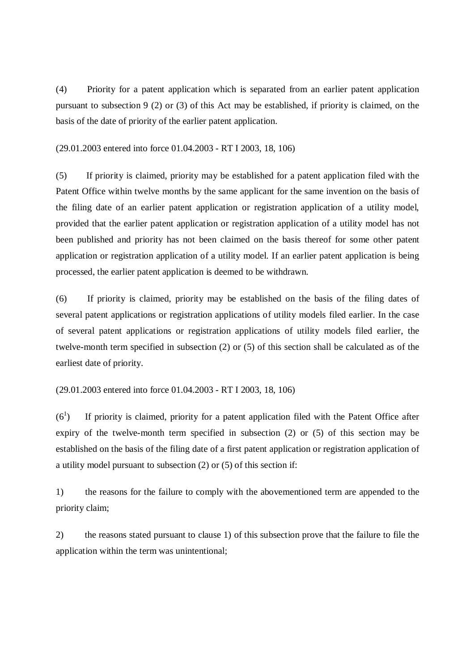(4) Priority for a patent application which is separated from an earlier patent application pursuant to subsection 9 (2) or (3) of this Act may be established, if priority is claimed, on the basis of the date of priority of the earlier patent application.

(29.01.2003 entered into force 01.04.2003 - RT I 2003, 18, 106)

(5) If priority is claimed, priority may be established for a patent application filed with the Patent Office within twelve months by the same applicant for the same invention on the basis of the filing date of an earlier patent application or registration application of a utility model, provided that the earlier patent application or registration application of a utility model has not been published and priority has not been claimed on the basis thereof for some other patent application or registration application of a utility model. If an earlier patent application is being processed, the earlier patent application is deemed to be withdrawn.

(6) If priority is claimed, priority may be established on the basis of the filing dates of several patent applications or registration applications of utility models filed earlier. In the case of several patent applications or registration applications of utility models filed earlier, the twelve-month term specified in subsection (2) or (5) of this section shall be calculated as of the earliest date of priority.

(29.01.2003 entered into force 01.04.2003 - RT I 2003, 18, 106)

 $(6^1)$ ) If priority is claimed, priority for a patent application filed with the Patent Office after expiry of the twelve-month term specified in subsection (2) or (5) of this section may be established on the basis of the filing date of a first patent application or registration application of a utility model pursuant to subsection (2) or (5) of this section if:

1) the reasons for the failure to comply with the abovementioned term are appended to the priority claim;

2) the reasons stated pursuant to clause 1) of this subsection prove that the failure to file the application within the term was unintentional;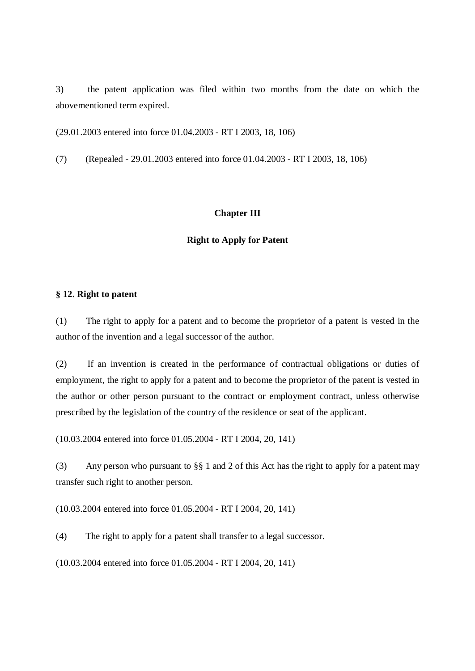3) the patent application was filed within two months from the date on which the abovementioned term expired.

(29.01.2003 entered into force 01.04.2003 - RT I 2003, 18, 106)

(7) (Repealed - 29.01.2003 entered into force 01.04.2003 - RT I 2003, 18, 106)

## **Chapter III**

#### **Right to Apply for Patent**

### **§ 12. Right to patent**

(1) The right to apply for a patent and to become the proprietor of a patent is vested in the author of the invention and a legal successor of the author.

(2) If an invention is created in the performance of contractual obligations or duties of employment, the right to apply for a patent and to become the proprietor of the patent is vested in the author or other person pursuant to the contract or employment contract, unless otherwise prescribed by the legislation of the country of the residence or seat of the applicant.

(10.03.2004 entered into force 01.05.2004 - RT I 2004, 20, 141)

(3) Any person who pursuant to §§ 1 and 2 of this Act has the right to apply for a patent may transfer such right to another person.

(10.03.2004 entered into force 01.05.2004 - RT I 2004, 20, 141)

(4) The right to apply for a patent shall transfer to a legal successor.

(10.03.2004 entered into force 01.05.2004 - RT I 2004, 20, 141)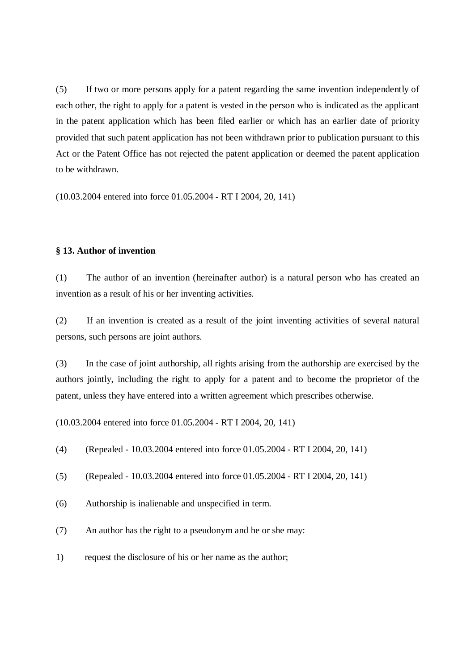(5) If two or more persons apply for a patent regarding the same invention independently of each other, the right to apply for a patent is vested in the person who is indicated as the applicant in the patent application which has been filed earlier or which has an earlier date of priority provided that such patent application has not been withdrawn prior to publication pursuant to this Act or the Patent Office has not rejected the patent application or deemed the patent application to be withdrawn.

(10.03.2004 entered into force 01.05.2004 - RT I 2004, 20, 141)

#### **§ 13. Author of invention**

(1) The author of an invention (hereinafter author) is a natural person who has created an invention as a result of his or her inventing activities.

(2) If an invention is created as a result of the joint inventing activities of several natural persons, such persons are joint authors.

(3) In the case of joint authorship, all rights arising from the authorship are exercised by the authors jointly, including the right to apply for a patent and to become the proprietor of the patent, unless they have entered into a written agreement which prescribes otherwise.

(10.03.2004 entered into force 01.05.2004 - RT I 2004, 20, 141)

- (4) (Repealed 10.03.2004 entered into force 01.05.2004 RT I 2004, 20, 141)
- (5) (Repealed 10.03.2004 entered into force 01.05.2004 RT I 2004, 20, 141)
- (6) Authorship is inalienable and unspecified in term.
- (7) An author has the right to a pseudonym and he or she may:
- 1) request the disclosure of his or her name as the author;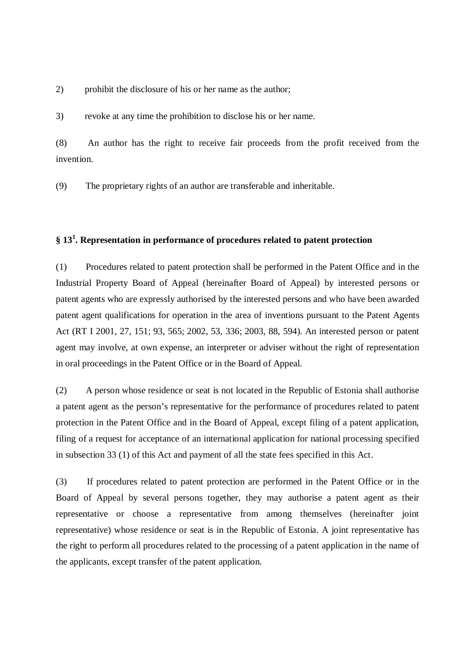2) prohibit the disclosure of his or her name as the author;

3) revoke at any time the prohibition to disclose his or her name.

(8) An author has the right to receive fair proceeds from the profit received from the invention.

(9) The proprietary rights of an author are transferable and inheritable.

# **§ 13 1 . Representation in performance of procedures related to patent protection**

(1) Procedures related to patent protection shall be performed in the Patent Office and in the Industrial Property Board of Appeal (hereinafter Board of Appeal) by interested persons or patent agents who are expressly authorised by the interested persons and who have been awarded patent agent qualifications for operation in the area of inventions pursuant to the Patent Agents Act (RT I 2001, 27, 151; 93, 565; 2002, 53, 336; 2003, 88, 594). An interested person or patent agent may involve, at own expense, an interpreter or adviser without the right of representation in oral proceedings in the Patent Office or in the Board of Appeal.

(2) A person whose residence or seat is not located in the Republic of Estonia shall authorise a patent agent as the person's representative for the performance of procedures related to patent protection in the Patent Office and in the Board of Appeal, except filing of a patent application, filing of a request for acceptance of an international application for national processing specified in subsection 33 (1) of this Act and payment of all the state fees specified in this Act.

(3) If procedures related to patent protection are performed in the Patent Office or in the Board of Appeal by several persons together, they may authorise a patent agent as their representative or choose a representative from among themselves (hereinafter joint representative) whose residence or seat is in the Republic of Estonia. A joint representative has the right to perform all procedures related to the processing of a patent application in the name of the applicants, except transfer of the patent application.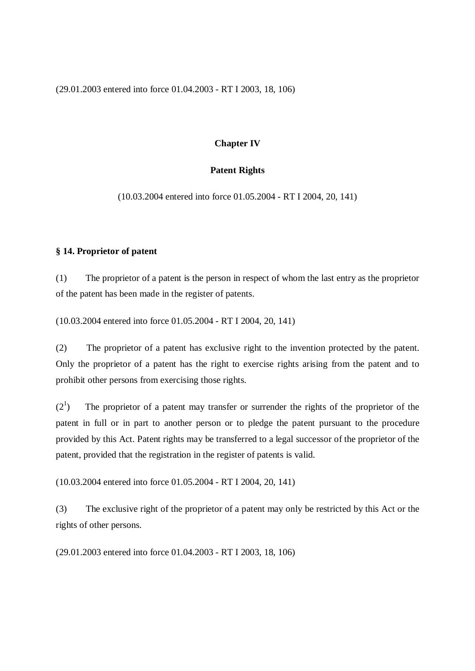(29.01.2003 entered into force 01.04.2003 - RT I 2003, 18, 106)

## **Chapter IV**

# **Patent Rights**

(10.03.2004 entered into force 01.05.2004 - RT I 2004, 20, 141)

## **§ 14. Proprietor of patent**

(1) The proprietor of a patent is the person in respect of whom the last entry as the proprietor of the patent has been made in the register of patents.

(10.03.2004 entered into force 01.05.2004 - RT I 2004, 20, 141)

(2) The proprietor of a patent has exclusive right to the invention protected by the patent. Only the proprietor of a patent has the right to exercise rights arising from the patent and to prohibit other persons from exercising those rights.

 $(2^1)$ ) The proprietor of a patent may transfer or surrender the rights of the proprietor of the patent in full or in part to another person or to pledge the patent pursuant to the procedure provided by this Act. Patent rights may be transferred to a legal successor of the proprietor of the patent, provided that the registration in the register of patents is valid.

(10.03.2004 entered into force 01.05.2004 - RT I 2004, 20, 141)

(3) The exclusive right of the proprietor of a patent may only be restricted by this Act or the rights of other persons.

(29.01.2003 entered into force 01.04.2003 - RT I 2003, 18, 106)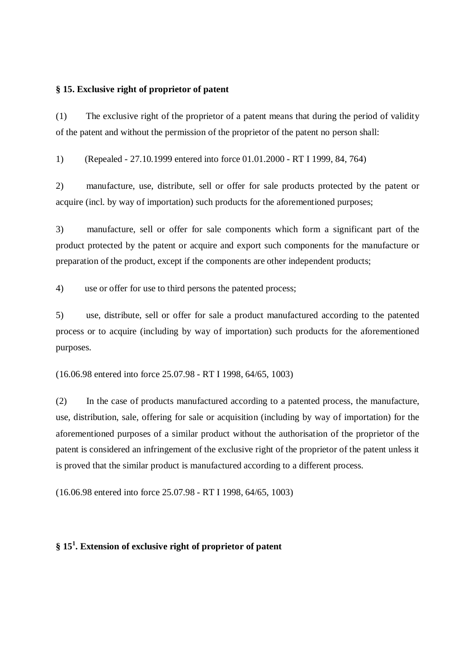### **§ 15. Exclusive right of proprietor of patent**

(1) The exclusive right of the proprietor of a patent means that during the period of validity of the patent and without the permission of the proprietor of the patent no person shall:

1) (Repealed - 27.10.1999 entered into force 01.01.2000 - RT I 1999, 84, 764)

2) manufacture, use, distribute, sell or offer for sale products protected by the patent or acquire (incl. by way of importation) such products for the aforementioned purposes;

3) manufacture, sell or offer for sale components which form a significant part of the product protected by the patent or acquire and export such components for the manufacture or preparation of the product, except if the components are other independent products;

4) use or offer for use to third persons the patented process;

5) use, distribute, sell or offer for sale a product manufactured according to the patented process or to acquire (including by way of importation) such products for the aforementioned purposes.

(16.06.98 entered into force 25.07.98 - RT I 1998, 64/65, 1003)

(2) In the case of products manufactured according to a patented process, the manufacture, use, distribution, sale, offering for sale or acquisition (including by way of importation) for the aforementioned purposes of a similar product without the authorisation of the proprietor of the patent is considered an infringement of the exclusive right of the proprietor of the patent unless it is proved that the similar product is manufactured according to a different process.

(16.06.98 entered into force 25.07.98 - RT I 1998, 64/65, 1003)

# **§ 15 1 . Extension of exclusive right of proprietor of patent**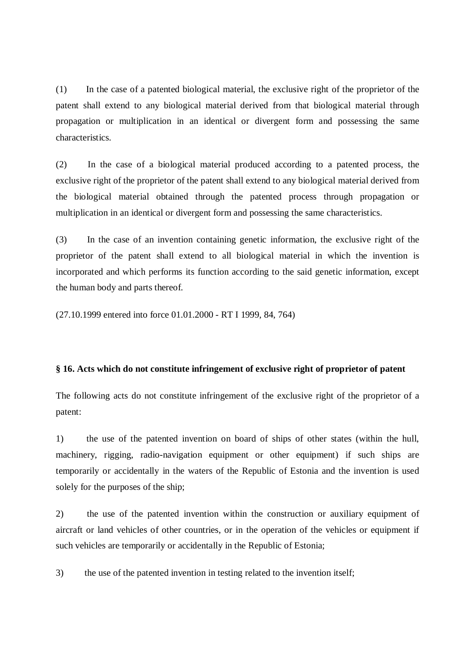(1) In the case of a patented biological material, the exclusive right of the proprietor of the patent shall extend to any biological material derived from that biological material through propagation or multiplication in an identical or divergent form and possessing the same characteristics.

(2) In the case of a biological material produced according to a patented process, the exclusive right of the proprietor of the patent shall extend to any biological material derived from the biological material obtained through the patented process through propagation or multiplication in an identical or divergent form and possessing the same characteristics.

(3) In the case of an invention containing genetic information, the exclusive right of the proprietor of the patent shall extend to all biological material in which the invention is incorporated and which performs its function according to the said genetic information, except the human body and parts thereof.

(27.10.1999 entered into force 01.01.2000 - RT I 1999, 84, 764)

### **§ 16. Acts which do not constitute infringement of exclusive right of proprietor of patent**

The following acts do not constitute infringement of the exclusive right of the proprietor of a patent:

1) the use of the patented invention on board of ships of other states (within the hull, machinery, rigging, radio-navigation equipment or other equipment) if such ships are temporarily or accidentally in the waters of the Republic of Estonia and the invention is used solely for the purposes of the ship;

2) the use of the patented invention within the construction or auxiliary equipment of aircraft or land vehicles of other countries, or in the operation of the vehicles or equipment if such vehicles are temporarily or accidentally in the Republic of Estonia;

3) the use of the patented invention in testing related to the invention itself;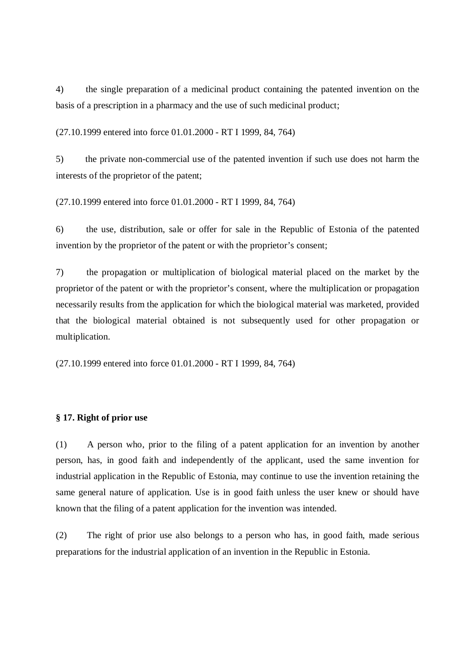4) the single preparation of a medicinal product containing the patented invention on the basis of a prescription in a pharmacy and the use of such medicinal product;

(27.10.1999 entered into force 01.01.2000 - RT I 1999, 84, 764)

5) the private non-commercial use of the patented invention if such use does not harm the interests of the proprietor of the patent;

(27.10.1999 entered into force 01.01.2000 - RT I 1999, 84, 764)

6) the use, distribution, sale or offer for sale in the Republic of Estonia of the patented invention by the proprietor of the patent or with the proprietor's consent;

7) the propagation or multiplication of biological material placed on the market by the proprietor of the patent or with the proprietor's consent, where the multiplication or propagation necessarily results from the application for which the biological material was marketed, provided that the biological material obtained is not subsequently used for other propagation or multiplication.

(27.10.1999 entered into force 01.01.2000 - RT I 1999, 84, 764)

## **§ 17. Right of prior use**

(1) A person who, prior to the filing of a patent application for an invention by another person, has, in good faith and independently of the applicant, used the same invention for industrial application in the Republic of Estonia, may continue to use the invention retaining the same general nature of application. Use is in good faith unless the user knew or should have known that the filing of a patent application for the invention was intended.

(2) The right of prior use also belongs to a person who has, in good faith, made serious preparations for the industrial application of an invention in the Republic in Estonia.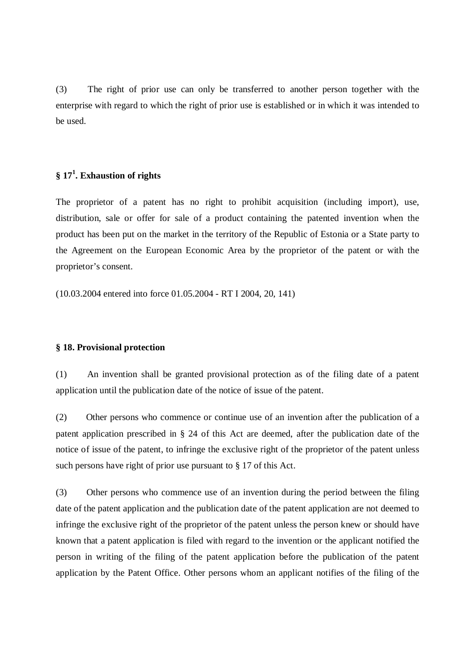(3) The right of prior use can only be transferred to another person together with the enterprise with regard to which the right of prior use is established or in which it was intended to be used.

# **§ 17 1 . Exhaustion of rights**

The proprietor of a patent has no right to prohibit acquisition (including import), use, distribution, sale or offer for sale of a product containing the patented invention when the product has been put on the market in the territory of the Republic of Estonia or a State party to the Agreement on the European Economic Area by the proprietor of the patent or with the proprietor's consent.

(10.03.2004 entered into force 01.05.2004 - RT I 2004, 20, 141)

#### **§ 18. Provisional protection**

(1) An invention shall be granted provisional protection as of the filing date of a patent application until the publication date of the notice of issue of the patent.

(2) Other persons who commence or continue use of an invention after the publication of a patent application prescribed in § 24 of this Act are deemed, after the publication date of the notice of issue of the patent, to infringe the exclusive right of the proprietor of the patent unless such persons have right of prior use pursuant to § 17 of this Act.

(3) Other persons who commence use of an invention during the period between the filing date of the patent application and the publication date of the patent application are not deemed to infringe the exclusive right of the proprietor of the patent unless the person knew or should have known that a patent application is filed with regard to the invention or the applicant notified the person in writing of the filing of the patent application before the publication of the patent application by the Patent Office. Other persons whom an applicant notifies of the filing of the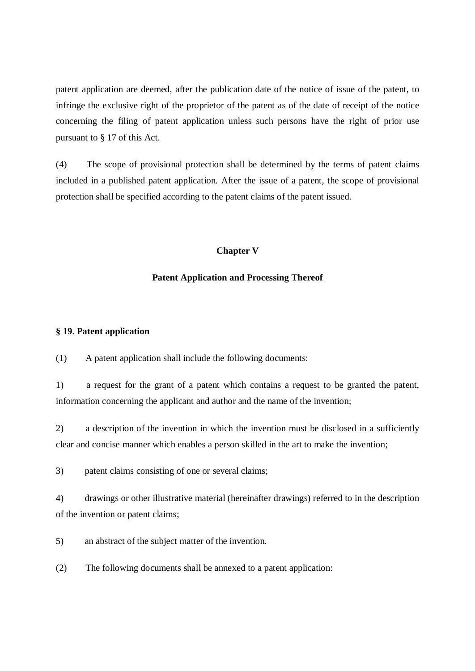patent application are deemed, after the publication date of the notice of issue of the patent, to infringe the exclusive right of the proprietor of the patent as of the date of receipt of the notice concerning the filing of patent application unless such persons have the right of prior use pursuant to § 17 of this Act.

(4) The scope of provisional protection shall be determined by the terms of patent claims included in a published patent application. After the issue of a patent, the scope of provisional protection shall be specified according to the patent claims of the patent issued.

## **Chapter V**

#### **Patent Application and Processing Thereof**

### **§ 19. Patent application**

(1) A patent application shall include the following documents:

1) a request for the grant of a patent which contains a request to be granted the patent, information concerning the applicant and author and the name of the invention;

2) a description of the invention in which the invention must be disclosed in a sufficiently clear and concise manner which enables a person skilled in the art to make the invention;

3) patent claims consisting of one or several claims;

4) drawings or other illustrative material (hereinafter drawings) referred to in the description of the invention or patent claims;

5) an abstract of the subject matter of the invention.

(2) The following documents shall be annexed to a patent application: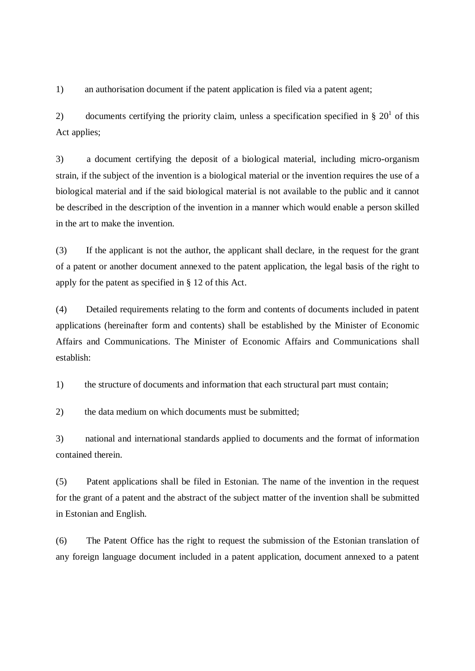1) an authorisation document if the patent application is filed via a patent agent;

2) documents certifying the priority claim, unless a specification specified in §  $20<sup>1</sup>$  of this Act applies;

3) a document certifying the deposit of a biological material, including micro-organism strain, if the subject of the invention is a biological material or the invention requires the use of a biological material and if the said biological material is not available to the public and it cannot be described in the description of the invention in a manner which would enable a person skilled in the art to make the invention.

(3) If the applicant is not the author, the applicant shall declare, in the request for the grant of a patent or another document annexed to the patent application, the legal basis of the right to apply for the patent as specified in § 12 of this Act.

(4) Detailed requirements relating to the form and contents of documents included in patent applications (hereinafter form and contents) shall be established by the Minister of Economic Affairs and Communications. The Minister of Economic Affairs and Communications shall establish:

1) the structure of documents and information that each structural part must contain;

2) the data medium on which documents must be submitted;

3) national and international standards applied to documents and the format of information contained therein.

(5) Patent applications shall be filed in Estonian. The name of the invention in the request for the grant of a patent and the abstract of the subject matter of the invention shall be submitted in Estonian and English.

(6) The Patent Office has the right to request the submission of the Estonian translation of any foreign language document included in a patent application, document annexed to a patent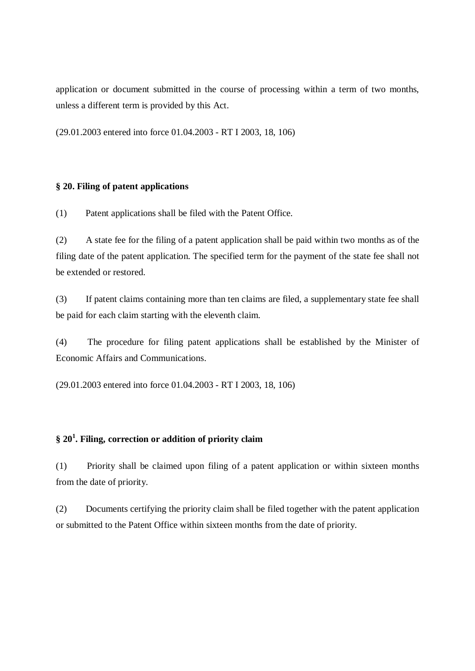application or document submitted in the course of processing within a term of two months, unless a different term is provided by this Act.

(29.01.2003 entered into force 01.04.2003 - RT I 2003, 18, 106)

## **§ 20. Filing of patent applications**

(1) Patent applications shall be filed with the Patent Office.

(2) A state fee for the filing of a patent application shall be paid within two months as of the filing date of the patent application. The specified term for the payment of the state fee shall not be extended or restored.

(3) If patent claims containing more than ten claims are filed, a supplementary state fee shall be paid for each claim starting with the eleventh claim.

(4) The procedure for filing patent applications shall be established by the Minister of Economic Affairs and Communications.

(29.01.2003 entered into force 01.04.2003 - RT I 2003, 18, 106)

# **§ 20 1 . Filing, correction or addition of priority claim**

(1) Priority shall be claimed upon filing of a patent application or within sixteen months from the date of priority.

(2) Documents certifying the priority claim shall be filed together with the patent application or submitted to the Patent Office within sixteen months from the date of priority.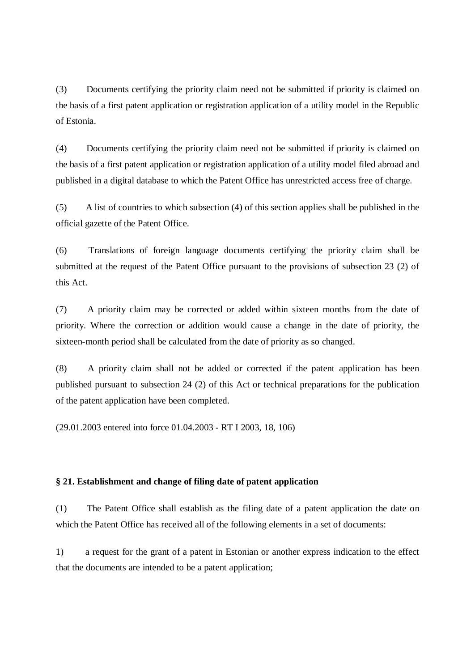(3) Documents certifying the priority claim need not be submitted if priority is claimed on the basis of a first patent application or registration application of a utility model in the Republic of Estonia.

(4) Documents certifying the priority claim need not be submitted if priority is claimed on the basis of a first patent application or registration application of a utility model filed abroad and published in a digital database to which the Patent Office has unrestricted access free of charge.

(5) A list of countries to which subsection (4) of this section applies shall be published in the official gazette of the Patent Office.

(6) Translations of foreign language documents certifying the priority claim shall be submitted at the request of the Patent Office pursuant to the provisions of subsection 23 (2) of this Act.

(7) A priority claim may be corrected or added within sixteen months from the date of priority. Where the correction or addition would cause a change in the date of priority, the sixteen-month period shall be calculated from the date of priority as so changed.

(8) A priority claim shall not be added or corrected if the patent application has been published pursuant to subsection 24 (2) of this Act or technical preparations for the publication of the patent application have been completed.

(29.01.2003 entered into force 01.04.2003 - RT I 2003, 18, 106)

### **§ 21. Establishment and change of filing date of patent application**

(1) The Patent Office shall establish as the filing date of a patent application the date on which the Patent Office has received all of the following elements in a set of documents:

1) a request for the grant of a patent in Estonian or another express indication to the effect that the documents are intended to be a patent application;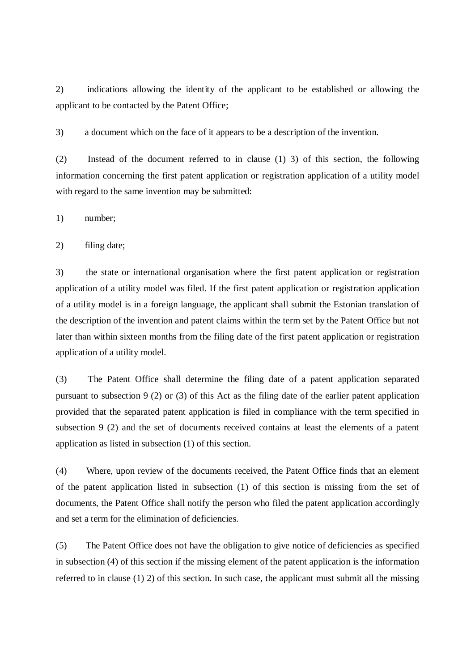2) indications allowing the identity of the applicant to be established or allowing the applicant to be contacted by the Patent Office;

3) a document which on the face of it appears to be a description of the invention.

(2) Instead of the document referred to in clause (1) 3) of this section, the following information concerning the first patent application or registration application of a utility model with regard to the same invention may be submitted:

1) number;

2) filing date;

3) the state or international organisation where the first patent application or registration application of a utility model was filed. If the first patent application or registration application of a utility model is in a foreign language, the applicant shall submit the Estonian translation of the description of the invention and patent claims within the term set by the Patent Office but not later than within sixteen months from the filing date of the first patent application or registration application of a utility model.

(3) The Patent Office shall determine the filing date of a patent application separated pursuant to subsection 9 (2) or (3) of this Act as the filing date of the earlier patent application provided that the separated patent application is filed in compliance with the term specified in subsection 9 (2) and the set of documents received contains at least the elements of a patent application as listed in subsection (1) of this section.

(4) Where, upon review of the documents received, the Patent Office finds that an element of the patent application listed in subsection (1) of this section is missing from the set of documents, the Patent Office shall notify the person who filed the patent application accordingly and set a term for the elimination of deficiencies.

(5) The Patent Office does not have the obligation to give notice of deficiencies as specified in subsection (4) of this section if the missing element of the patent application is the information referred to in clause (1) 2) of this section. In such case, the applicant must submit all the missing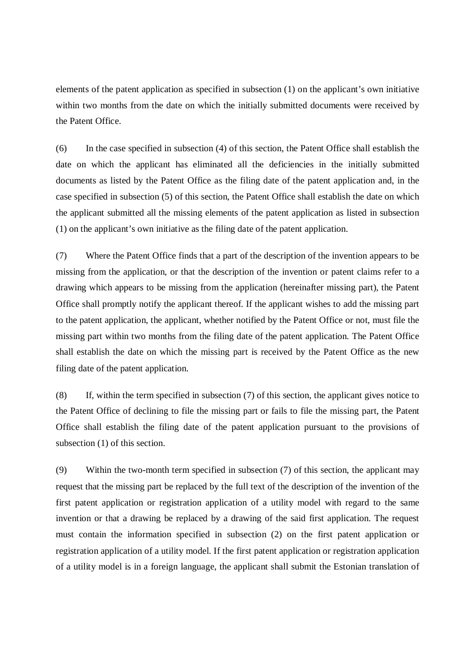elements of the patent application as specified in subsection (1) on the applicant's own initiative within two months from the date on which the initially submitted documents were received by the Patent Office.

(6) In the case specified in subsection (4) of this section, the Patent Office shall establish the date on which the applicant has eliminated all the deficiencies in the initially submitted documents as listed by the Patent Office as the filing date of the patent application and, in the case specified in subsection (5) of this section, the Patent Office shall establish the date on which the applicant submitted all the missing elements of the patent application as listed in subsection (1) on the applicant's own initiative as the filing date of the patent application.

(7) Where the Patent Office finds that a part of the description of the invention appears to be missing from the application, or that the description of the invention or patent claims refer to a drawing which appears to be missing from the application (hereinafter missing part), the Patent Office shall promptly notify the applicant thereof. If the applicant wishes to add the missing part to the patent application, the applicant, whether notified by the Patent Office or not, must file the missing part within two months from the filing date of the patent application. The Patent Office shall establish the date on which the missing part is received by the Patent Office as the new filing date of the patent application.

(8) If, within the term specified in subsection (7) of this section, the applicant gives notice to the Patent Office of declining to file the missing part or fails to file the missing part, the Patent Office shall establish the filing date of the patent application pursuant to the provisions of subsection (1) of this section.

(9) Within the two-month term specified in subsection (7) of this section, the applicant may request that the missing part be replaced by the full text of the description of the invention of the first patent application or registration application of a utility model with regard to the same invention or that a drawing be replaced by a drawing of the said first application. The request must contain the information specified in subsection (2) on the first patent application or registration application of a utility model. If the first patent application or registration application of a utility model is in a foreign language, the applicant shall submit the Estonian translation of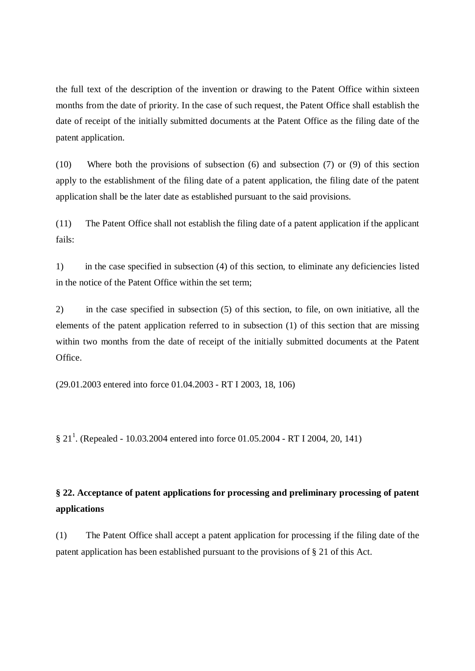the full text of the description of the invention or drawing to the Patent Office within sixteen months from the date of priority. In the case of such request, the Patent Office shall establish the date of receipt of the initially submitted documents at the Patent Office as the filing date of the patent application.

(10) Where both the provisions of subsection (6) and subsection (7) or (9) of this section apply to the establishment of the filing date of a patent application, the filing date of the patent application shall be the later date as established pursuant to the said provisions.

(11) The Patent Office shall not establish the filing date of a patent application if the applicant fails:

1) in the case specified in subsection (4) of this section, to eliminate any deficiencies listed in the notice of the Patent Office within the set term;

2) in the case specified in subsection (5) of this section, to file, on own initiative, all the elements of the patent application referred to in subsection (1) of this section that are missing within two months from the date of receipt of the initially submitted documents at the Patent Office.

(29.01.2003 entered into force 01.04.2003 - RT I 2003, 18, 106)

§ 21<sup>1</sup>. (Repealed - 10.03.2004 entered into force 01.05.2004 - RT I 2004, 20, 141)

# **§ 22. Acceptance of patent applications for processing and preliminary processing of patent applications**

(1) The Patent Office shall accept a patent application for processing if the filing date of the patent application has been established pursuant to the provisions of § 21 of this Act.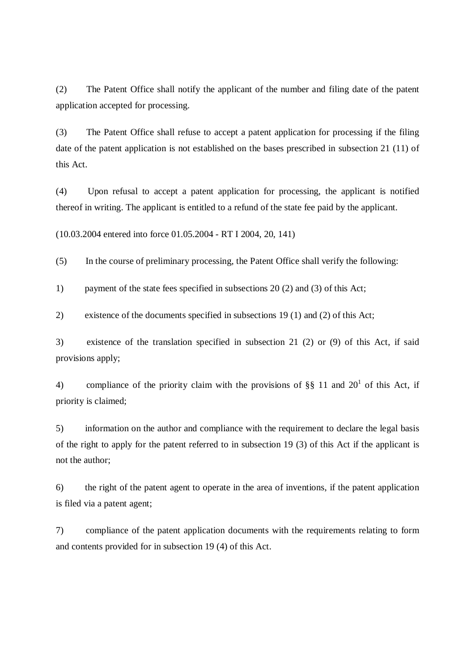(2) The Patent Office shall notify the applicant of the number and filing date of the patent application accepted for processing.

(3) The Patent Office shall refuse to accept a patent application for processing if the filing date of the patent application is not established on the bases prescribed in subsection 21 (11) of this Act.

(4) Upon refusal to accept a patent application for processing, the applicant is notified thereof in writing. The applicant is entitled to a refund of the state fee paid by the applicant.

(10.03.2004 entered into force 01.05.2004 - RT I 2004, 20, 141)

(5) In the course of preliminary processing, the Patent Office shall verify the following:

1) payment of the state fees specified in subsections 20 (2) and (3) of this Act;

2) existence of the documents specified in subsections 19 (1) and (2) of this Act;

3) existence of the translation specified in subsection 21 (2) or (9) of this Act, if said provisions apply;

4) compliance of the priority claim with the provisions of §§ 11 and 20<sup>1</sup> of this Act, if priority is claimed;

5) information on the author and compliance with the requirement to declare the legal basis of the right to apply for the patent referred to in subsection 19 (3) of this Act if the applicant is not the author;

6) the right of the patent agent to operate in the area of inventions, if the patent application is filed via a patent agent;

7) compliance of the patent application documents with the requirements relating to form and contents provided for in subsection 19 (4) of this Act.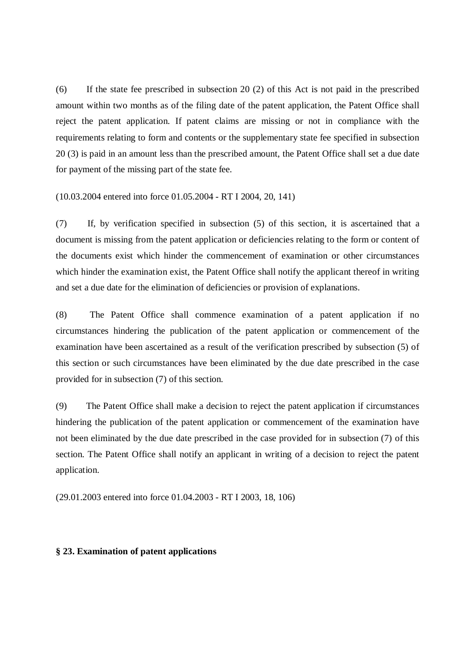(6) If the state fee prescribed in subsection 20 (2) of this Act is not paid in the prescribed amount within two months as of the filing date of the patent application, the Patent Office shall reject the patent application. If patent claims are missing or not in compliance with the requirements relating to form and contents or the supplementary state fee specified in subsection 20 (3) is paid in an amount less than the prescribed amount, the Patent Office shall set a due date for payment of the missing part of the state fee.

(10.03.2004 entered into force 01.05.2004 - RT I 2004, 20, 141)

(7) If, by verification specified in subsection (5) of this section, it is ascertained that a document is missing from the patent application or deficiencies relating to the form or content of the documents exist which hinder the commencement of examination or other circumstances which hinder the examination exist, the Patent Office shall notify the applicant thereof in writing and set a due date for the elimination of deficiencies or provision of explanations.

(8) The Patent Office shall commence examination of a patent application if no circumstances hindering the publication of the patent application or commencement of the examination have been ascertained as a result of the verification prescribed by subsection (5) of this section or such circumstances have been eliminated by the due date prescribed in the case provided for in subsection (7) of this section.

(9) The Patent Office shall make a decision to reject the patent application if circumstances hindering the publication of the patent application or commencement of the examination have not been eliminated by the due date prescribed in the case provided for in subsection (7) of this section. The Patent Office shall notify an applicant in writing of a decision to reject the patent application.

(29.01.2003 entered into force 01.04.2003 - RT I 2003, 18, 106)

### **§ 23. Examination of patent applications**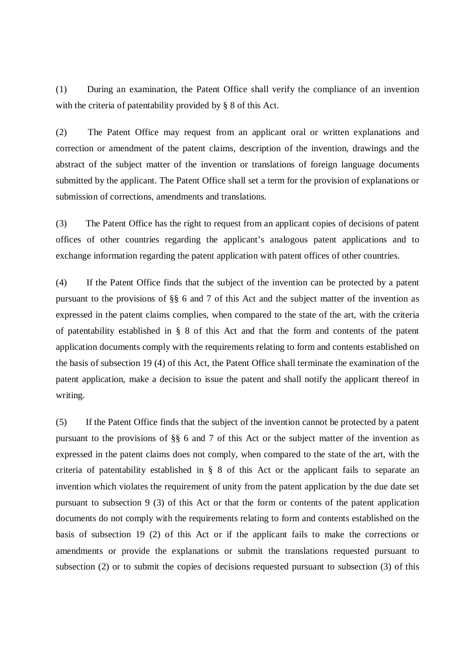(1) During an examination, the Patent Office shall verify the compliance of an invention with the criteria of patentability provided by § 8 of this Act.

(2) The Patent Office may request from an applicant oral or written explanations and correction or amendment of the patent claims, description of the invention, drawings and the abstract of the subject matter of the invention or translations of foreign language documents submitted by the applicant. The Patent Office shall set a term for the provision of explanations or submission of corrections, amendments and translations.

(3) The Patent Office has the right to request from an applicant copies of decisions of patent offices of other countries regarding the applicant's analogous patent applications and to exchange information regarding the patent application with patent offices of other countries.

(4) If the Patent Office finds that the subject of the invention can be protected by a patent pursuant to the provisions of §§ 6 and 7 of this Act and the subject matter of the invention as expressed in the patent claims complies, when compared to the state of the art, with the criteria of patentability established in § 8 of this Act and that the form and contents of the patent application documents comply with the requirements relating to form and contents established on the basis of subsection 19 (4) of this Act, the Patent Office shall terminate the examination of the patent application, make a decision to issue the patent and shall notify the applicant thereof in writing.

(5) If the Patent Office finds that the subject of the invention cannot be protected by a patent pursuant to the provisions of §§ 6 and 7 of this Act or the subject matter of the invention as expressed in the patent claims does not comply, when compared to the state of the art, with the criteria of patentability established in § 8 of this Act or the applicant fails to separate an invention which violates the requirement of unity from the patent application by the due date set pursuant to subsection 9 (3) of this Act or that the form or contents of the patent application documents do not comply with the requirements relating to form and contents established on the basis of subsection 19 (2) of this Act or if the applicant fails to make the corrections or amendments or provide the explanations or submit the translations requested pursuant to subsection (2) or to submit the copies of decisions requested pursuant to subsection (3) of this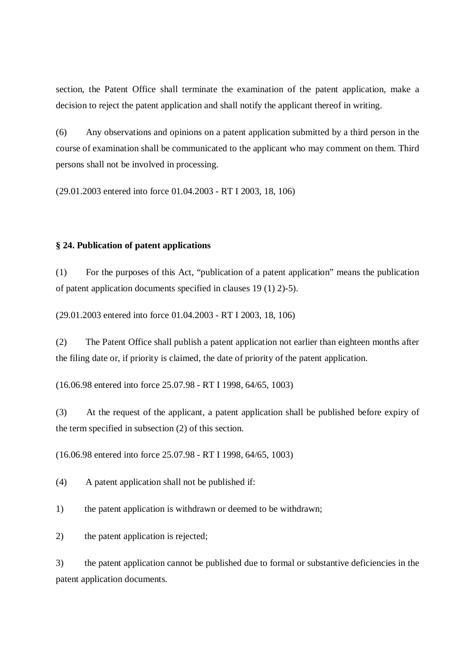section, the Patent Office shall terminate the examination of the patent application, make a decision to reject the patent application and shall notify the applicant thereof in writing.

(6) Any observations and opinions on a patent application submitted by a third person in the course of examination shall be communicated to the applicant who may comment on them. Third persons shall not be involved in processing.

(29.01.2003 entered into force 01.04.2003 - RT I 2003, 18, 106)

## **§ 24. Publication of patent applications**

(1) For the purposes of this Act, "publication of a patent application" means the publication of patent application documents specified in clauses 19 (1) 2)-5).

(29.01.2003 entered into force 01.04.2003 - RT I 2003, 18, 106)

(2) The Patent Office shall publish a patent application not earlier than eighteen months after the filing date or, if priority is claimed, the date of priority of the patent application.

(16.06.98 entered into force 25.07.98 - RT I 1998, 64/65, 1003)

(3) At the request of the applicant, a patent application shall be published before expiry of the term specified in subsection (2) of this section.

(16.06.98 entered into force 25.07.98 - RT I 1998, 64/65, 1003)

(4) A patent application shall not be published if:

1) the patent application is withdrawn or deemed to be withdrawn;

2) the patent application is rejected;

3) the patent application cannot be published due to formal or substantive deficiencies in the patent application documents.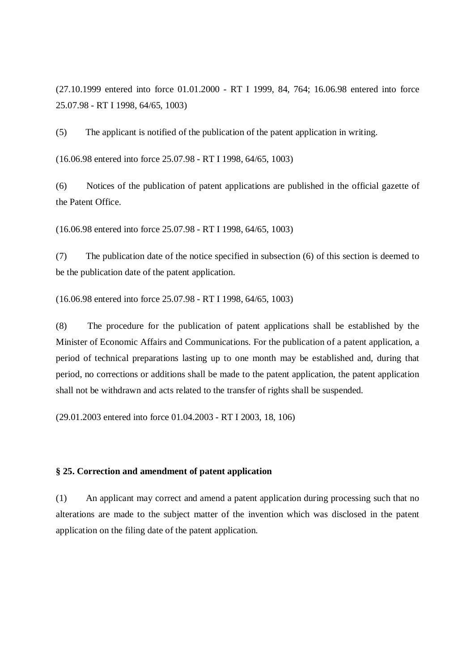(27.10.1999 entered into force 01.01.2000 - RT I 1999, 84, 764; 16.06.98 entered into force 25.07.98 - RT I 1998, 64/65, 1003)

(5) The applicant is notified of the publication of the patent application in writing.

(16.06.98 entered into force 25.07.98 - RT I 1998, 64/65, 1003)

(6) Notices of the publication of patent applications are published in the official gazette of the Patent Office.

(16.06.98 entered into force 25.07.98 - RT I 1998, 64/65, 1003)

(7) The publication date of the notice specified in subsection (6) of this section is deemed to be the publication date of the patent application.

(16.06.98 entered into force 25.07.98 - RT I 1998, 64/65, 1003)

(8) The procedure for the publication of patent applications shall be established by the Minister of Economic Affairs and Communications. For the publication of a patent application, a period of technical preparations lasting up to one month may be established and, during that period, no corrections or additions shall be made to the patent application, the patent application shall not be withdrawn and acts related to the transfer of rights shall be suspended.

(29.01.2003 entered into force 01.04.2003 - RT I 2003, 18, 106)

### **§ 25. Correction and amendment of patent application**

(1) An applicant may correct and amend a patent application during processing such that no alterations are made to the subject matter of the invention which was disclosed in the patent application on the filing date of the patent application.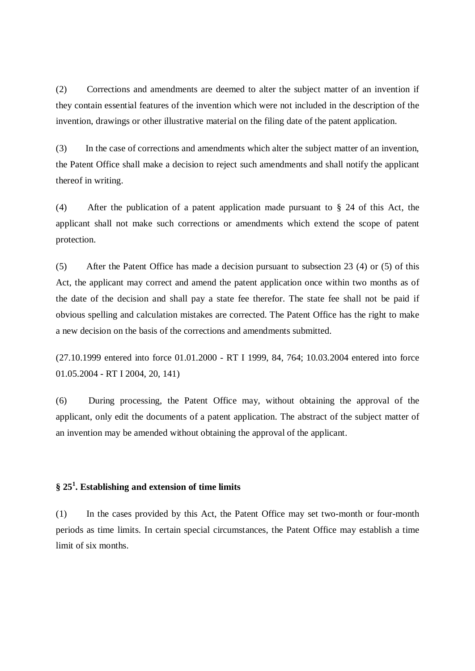(2) Corrections and amendments are deemed to alter the subject matter of an invention if they contain essential features of the invention which were not included in the description of the invention, drawings or other illustrative material on the filing date of the patent application.

(3) In the case of corrections and amendments which alter the subject matter of an invention, the Patent Office shall make a decision to reject such amendments and shall notify the applicant thereof in writing.

(4) After the publication of a patent application made pursuant to § 24 of this Act, the applicant shall not make such corrections or amendments which extend the scope of patent protection.

(5) After the Patent Office has made a decision pursuant to subsection 23 (4) or (5) of this Act, the applicant may correct and amend the patent application once within two months as of the date of the decision and shall pay a state fee therefor. The state fee shall not be paid if obvious spelling and calculation mistakes are corrected. The Patent Office has the right to make a new decision on the basis of the corrections and amendments submitted.

(27.10.1999 entered into force 01.01.2000 - RT I 1999, 84, 764; 10.03.2004 entered into force 01.05.2004 - RT I 2004, 20, 141)

(6) During processing, the Patent Office may, without obtaining the approval of the applicant, only edit the documents of a patent application. The abstract of the subject matter of an invention may be amended without obtaining the approval of the applicant.

# **§ 25 1 . Establishing and extension of time limits**

(1) In the cases provided by this Act, the Patent Office may set two-month or four-month periods as time limits. In certain special circumstances, the Patent Office may establish a time limit of six months.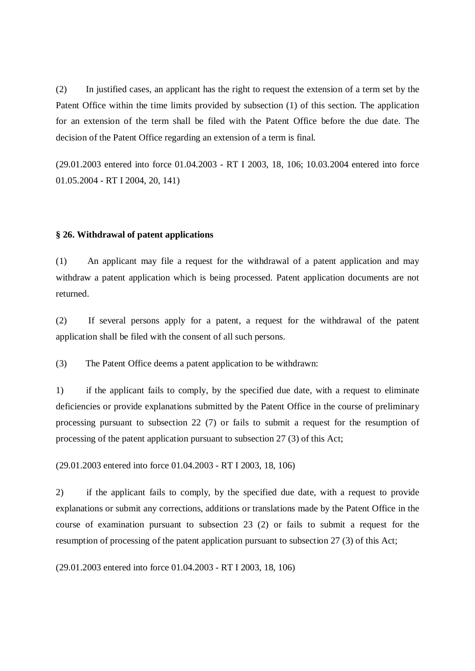(2) In justified cases, an applicant has the right to request the extension of a term set by the Patent Office within the time limits provided by subsection (1) of this section. The application for an extension of the term shall be filed with the Patent Office before the due date. The decision of the Patent Office regarding an extension of a term is final.

(29.01.2003 entered into force 01.04.2003 - RT I 2003, 18, 106; 10.03.2004 entered into force 01.05.2004 - RT I 2004, 20, 141)

#### **§ 26. Withdrawal of patent applications**

(1) An applicant may file a request for the withdrawal of a patent application and may withdraw a patent application which is being processed. Patent application documents are not returned.

(2) If several persons apply for a patent, a request for the withdrawal of the patent application shall be filed with the consent of all such persons.

(3) The Patent Office deems a patent application to be withdrawn:

1) if the applicant fails to comply, by the specified due date, with a request to eliminate deficiencies or provide explanations submitted by the Patent Office in the course of preliminary processing pursuant to subsection 22 (7) or fails to submit a request for the resumption of processing of the patent application pursuant to subsection 27 (3) of this Act;

(29.01.2003 entered into force 01.04.2003 - RT I 2003, 18, 106)

2) if the applicant fails to comply, by the specified due date, with a request to provide explanations or submit any corrections, additions or translations made by the Patent Office in the course of examination pursuant to subsection 23 (2) or fails to submit a request for the resumption of processing of the patent application pursuant to subsection 27 (3) of this Act;

(29.01.2003 entered into force 01.04.2003 - RT I 2003, 18, 106)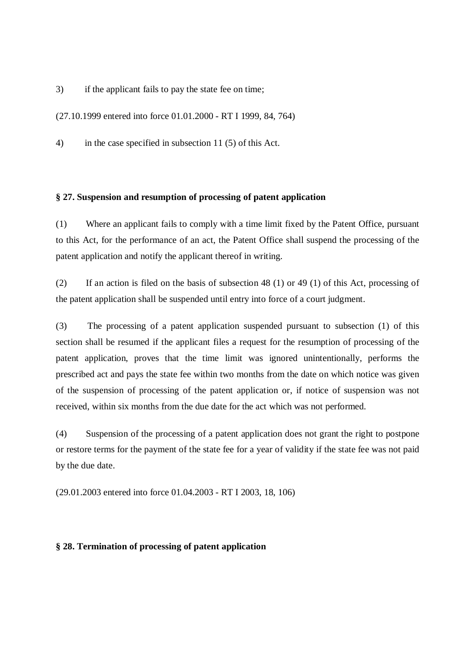3) if the applicant fails to pay the state fee on time;

(27.10.1999 entered into force 01.01.2000 - RT I 1999, 84, 764)

4) in the case specified in subsection 11 (5) of this Act.

### **§ 27. Suspension and resumption of processing of patent application**

(1) Where an applicant fails to comply with a time limit fixed by the Patent Office, pursuant to this Act, for the performance of an act, the Patent Office shall suspend the processing of the patent application and notify the applicant thereof in writing.

(2) If an action is filed on the basis of subsection 48 (1) or 49 (1) of this Act, processing of the patent application shall be suspended until entry into force of a court judgment.

(3) The processing of a patent application suspended pursuant to subsection (1) of this section shall be resumed if the applicant files a request for the resumption of processing of the patent application, proves that the time limit was ignored unintentionally, performs the prescribed act and pays the state fee within two months from the date on which notice was given of the suspension of processing of the patent application or, if notice of suspension was not received, within six months from the due date for the act which was not performed.

(4) Suspension of the processing of a patent application does not grant the right to postpone or restore terms for the payment of the state fee for a year of validity if the state fee was not paid by the due date.

(29.01.2003 entered into force 01.04.2003 - RT I 2003, 18, 106)

## **§ 28. Termination of processing of patent application**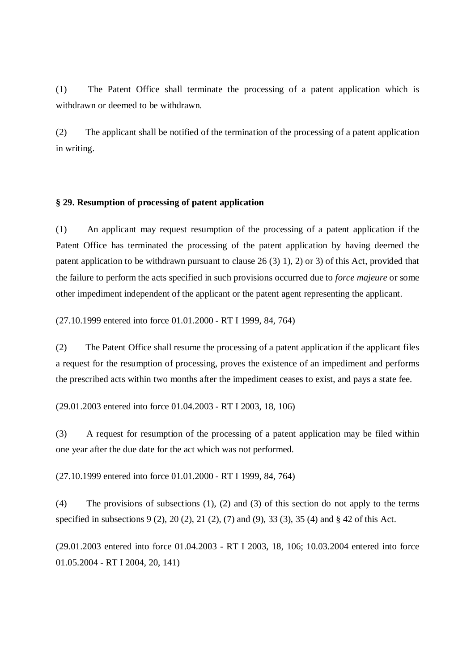(1) The Patent Office shall terminate the processing of a patent application which is withdrawn or deemed to be withdrawn.

(2) The applicant shall be notified of the termination of the processing of a patent application in writing.

## **§ 29. Resumption of processing of patent application**

(1) An applicant may request resumption of the processing of a patent application if the Patent Office has terminated the processing of the patent application by having deemed the patent application to be withdrawn pursuant to clause 26 (3) 1), 2) or 3) of this Act, provided that the failure to perform the acts specified in such provisions occurred due to *force majeure* or some other impediment independent of the applicant or the patent agent representing the applicant.

(27.10.1999 entered into force 01.01.2000 - RT I 1999, 84, 764)

(2) The Patent Office shall resume the processing of a patent application if the applicant files a request for the resumption of processing, proves the existence of an impediment and performs the prescribed acts within two months after the impediment ceases to exist, and pays a state fee.

(29.01.2003 entered into force 01.04.2003 - RT I 2003, 18, 106)

(3) A request for resumption of the processing of a patent application may be filed within one year after the due date for the act which was not performed.

(27.10.1999 entered into force 01.01.2000 - RT I 1999, 84, 764)

(4) The provisions of subsections (1), (2) and (3) of this section do not apply to the terms specified in subsections 9 (2), 20 (2), 21 (2), (7) and (9), 33 (3), 35 (4) and § 42 of this Act.

(29.01.2003 entered into force 01.04.2003 - RT I 2003, 18, 106; 10.03.2004 entered into force 01.05.2004 - RT I 2004, 20, 141)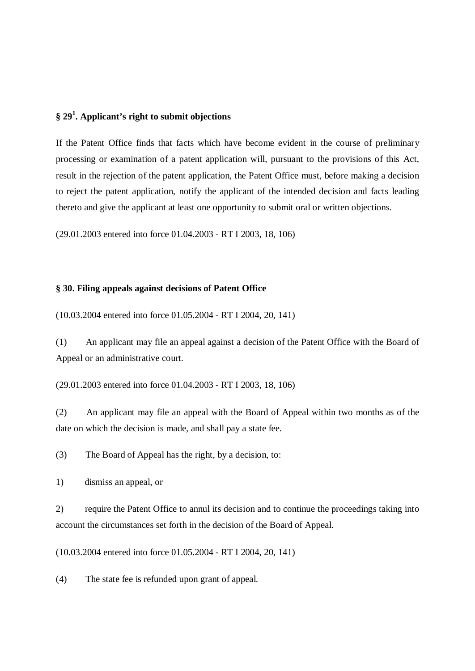# **§ 29 1 . Applicant's right to submit objections**

If the Patent Office finds that facts which have become evident in the course of preliminary processing or examination of a patent application will, pursuant to the provisions of this Act, result in the rejection of the patent application, the Patent Office must, before making a decision to reject the patent application, notify the applicant of the intended decision and facts leading thereto and give the applicant at least one opportunity to submit oral or written objections.

(29.01.2003 entered into force 01.04.2003 - RT I 2003, 18, 106)

#### **§ 30. Filing appeals against decisions of Patent Office**

(10.03.2004 entered into force 01.05.2004 - RT I 2004, 20, 141)

(1) An applicant may file an appeal against a decision of the Patent Office with the Board of Appeal or an administrative court.

(29.01.2003 entered into force 01.04.2003 - RT I 2003, 18, 106)

(2) An applicant may file an appeal with the Board of Appeal within two months as of the date on which the decision is made, and shall pay a state fee.

(3) The Board of Appeal has the right, by a decision, to:

1) dismiss an appeal, or

2) require the Patent Office to annul its decision and to continue the proceedings taking into account the circumstances set forth in the decision of the Board of Appeal.

(10.03.2004 entered into force 01.05.2004 - RT I 2004, 20, 141)

(4) The state fee is refunded upon grant of appeal.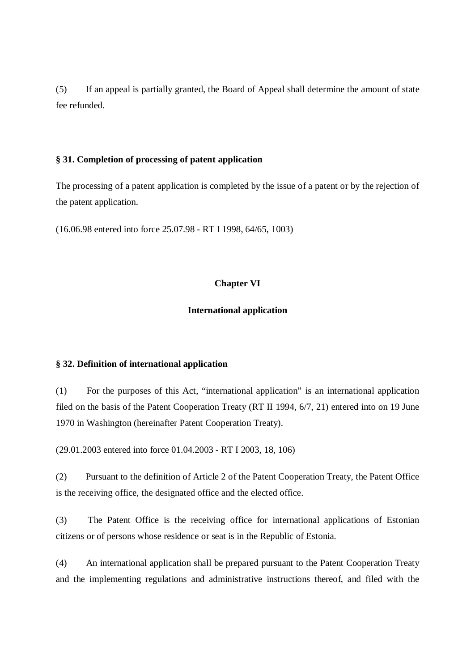(5) If an appeal is partially granted, the Board of Appeal shall determine the amount of state fee refunded.

## **§ 31. Completion of processing of patent application**

The processing of a patent application is completed by the issue of a patent or by the rejection of the patent application.

(16.06.98 entered into force 25.07.98 - RT I 1998, 64/65, 1003)

# **Chapter VI**

# **International application**

# **§ 32. Definition of international application**

(1) For the purposes of this Act, "international application" is an international application filed on the basis of the Patent Cooperation Treaty (RT II 1994, 6/7, 21) entered into on 19 June 1970 in Washington (hereinafter Patent Cooperation Treaty).

(29.01.2003 entered into force 01.04.2003 - RT I 2003, 18, 106)

(2) Pursuant to the definition of Article 2 of the Patent Cooperation Treaty, the Patent Office is the receiving office, the designated office and the elected office.

(3) The Patent Office is the receiving office for international applications of Estonian citizens or of persons whose residence or seat is in the Republic of Estonia.

(4) An international application shall be prepared pursuant to the Patent Cooperation Treaty and the implementing regulations and administrative instructions thereof, and filed with the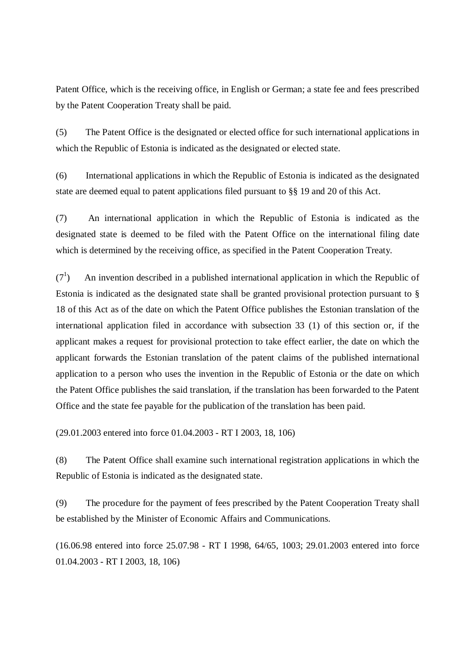Patent Office, which is the receiving office, in English or German; a state fee and fees prescribed by the Patent Cooperation Treaty shall be paid.

(5) The Patent Office is the designated or elected office for such international applications in which the Republic of Estonia is indicated as the designated or elected state.

(6) International applications in which the Republic of Estonia is indicated as the designated state are deemed equal to patent applications filed pursuant to §§ 19 and 20 of this Act.

(7) An international application in which the Republic of Estonia is indicated as the designated state is deemed to be filed with the Patent Office on the international filing date which is determined by the receiving office, as specified in the Patent Cooperation Treaty.

 $(7^1)$ ) An invention described in a published international application in which the Republic of Estonia is indicated as the designated state shall be granted provisional protection pursuant to § 18 of this Act as of the date on which the Patent Office publishes the Estonian translation of the international application filed in accordance with subsection 33 (1) of this section or, if the applicant makes a request for provisional protection to take effect earlier, the date on which the applicant forwards the Estonian translation of the patent claims of the published international application to a person who uses the invention in the Republic of Estonia or the date on which the Patent Office publishes the said translation, if the translation has been forwarded to the Patent Office and the state fee payable for the publication of the translation has been paid.

(29.01.2003 entered into force 01.04.2003 - RT I 2003, 18, 106)

(8) The Patent Office shall examine such international registration applications in which the Republic of Estonia is indicated as the designated state.

(9) The procedure for the payment of fees prescribed by the Patent Cooperation Treaty shall be established by the Minister of Economic Affairs and Communications.

(16.06.98 entered into force 25.07.98 - RT I 1998, 64/65, 1003; 29.01.2003 entered into force 01.04.2003 - RT I 2003, 18, 106)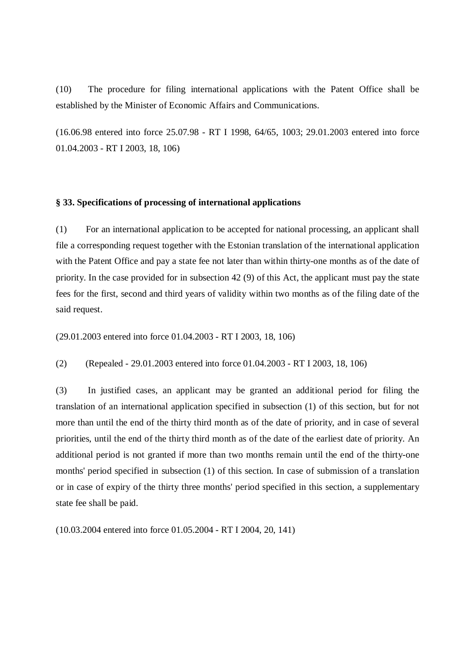(10) The procedure for filing international applications with the Patent Office shall be established by the Minister of Economic Affairs and Communications.

(16.06.98 entered into force 25.07.98 - RT I 1998, 64/65, 1003; 29.01.2003 entered into force 01.04.2003 - RT I 2003, 18, 106)

### **§ 33. Specifications of processing of international applications**

(1) For an international application to be accepted for national processing, an applicant shall file a corresponding request together with the Estonian translation of the international application with the Patent Office and pay a state fee not later than within thirty-one months as of the date of priority. In the case provided for in subsection 42 (9) of this Act, the applicant must pay the state fees for the first, second and third years of validity within two months as of the filing date of the said request.

(29.01.2003 entered into force 01.04.2003 - RT I 2003, 18, 106)

(2) (Repealed - 29.01.2003 entered into force 01.04.2003 - RT I 2003, 18, 106)

(3) In justified cases, an applicant may be granted an additional period for filing the translation of an international application specified in subsection (1) of this section, but for not more than until the end of the thirty third month as of the date of priority, and in case of several priorities, until the end of the thirty third month as of the date of the earliest date of priority. An additional period is not granted if more than two months remain until the end of the thirty-one months' period specified in subsection (1) of this section. In case of submission of a translation or in case of expiry of the thirty three months' period specified in this section, a supplementary state fee shall be paid.

(10.03.2004 entered into force 01.05.2004 - RT I 2004, 20, 141)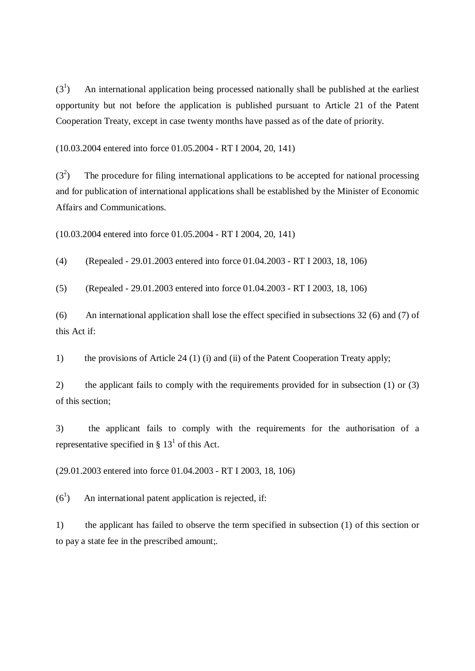$(3^1)$ ) An international application being processed nationally shall be published at the earliest opportunity but not before the application is published pursuant to Article 21 of the Patent Cooperation Treaty, except in case twenty months have passed as of the date of priority.

(10.03.2004 entered into force 01.05.2004 - RT I 2004, 20, 141)

 $(3^2)$ ) The procedure for filing international applications to be accepted for national processing and for publication of international applications shall be established by the Minister of Economic Affairs and Communications.

(10.03.2004 entered into force 01.05.2004 - RT I 2004, 20, 141)

(4) (Repealed - 29.01.2003 entered into force 01.04.2003 - RT I 2003, 18, 106)

(5) (Repealed - 29.01.2003 entered into force 01.04.2003 - RT I 2003, 18, 106)

(6) An international application shall lose the effect specified in subsections 32 (6) and (7) of this Act if:

1) the provisions of Article 24 (1) (i) and (ii) of the Patent Cooperation Treaty apply;

2) the applicant fails to comply with the requirements provided for in subsection (1) or (3) of this section;

3) the applicant fails to comply with the requirements for the authorisation of a representative specified in §  $13<sup>1</sup>$  of this Act.

(29.01.2003 entered into force 01.04.2003 - RT I 2003, 18, 106)

 $(6^1)$ ) An international patent application is rejected, if:

1) the applicant has failed to observe the term specified in subsection (1) of this section or to pay a state fee in the prescribed amount;.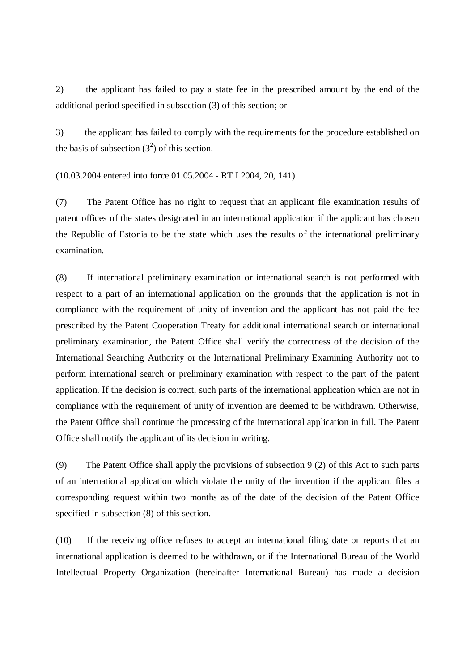2) the applicant has failed to pay a state fee in the prescribed amount by the end of the additional period specified in subsection (3) of this section; or

3) the applicant has failed to comply with the requirements for the procedure established on the basis of subsection  $(3^2)$  of this section.

(10.03.2004 entered into force 01.05.2004 - RT I 2004, 20, 141)

(7) The Patent Office has no right to request that an applicant file examination results of patent offices of the states designated in an international application if the applicant has chosen the Republic of Estonia to be the state which uses the results of the international preliminary examination.

(8) If international preliminary examination or international search is not performed with respect to a part of an international application on the grounds that the application is not in compliance with the requirement of unity of invention and the applicant has not paid the fee prescribed by the Patent Cooperation Treaty for additional international search or international preliminary examination, the Patent Office shall verify the correctness of the decision of the International Searching Authority or the International Preliminary Examining Authority not to perform international search or preliminary examination with respect to the part of the patent application. If the decision is correct, such parts of the international application which are not in compliance with the requirement of unity of invention are deemed to be withdrawn. Otherwise, the Patent Office shall continue the processing of the international application in full. The Patent Office shall notify the applicant of its decision in writing.

(9) The Patent Office shall apply the provisions of subsection 9 (2) of this Act to such parts of an international application which violate the unity of the invention if the applicant files a corresponding request within two months as of the date of the decision of the Patent Office specified in subsection (8) of this section.

(10) If the receiving office refuses to accept an international filing date or reports that an international application is deemed to be withdrawn, or if the International Bureau of the World Intellectual Property Organization (hereinafter International Bureau) has made a decision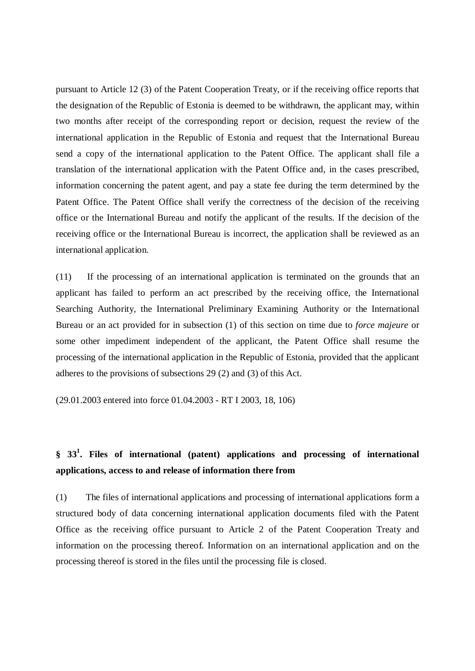pursuant to Article 12 (3) of the Patent Cooperation Treaty, or if the receiving office reports that the designation of the Republic of Estonia is deemed to be withdrawn, the applicant may, within two months after receipt of the corresponding report or decision, request the review of the international application in the Republic of Estonia and request that the International Bureau send a copy of the international application to the Patent Office. The applicant shall file a translation of the international application with the Patent Office and, in the cases prescribed, information concerning the patent agent, and pay a state fee during the term determined by the Patent Office. The Patent Office shall verify the correctness of the decision of the receiving office or the International Bureau and notify the applicant of the results. If the decision of the receiving office or the International Bureau is incorrect, the application shall be reviewed as an international application.

(11) If the processing of an international application is terminated on the grounds that an applicant has failed to perform an act prescribed by the receiving office, the International Searching Authority, the International Preliminary Examining Authority or the International Bureau or an act provided for in subsection (1) of this section on time due to *force majeure* or some other impediment independent of the applicant, the Patent Office shall resume the processing of the international application in the Republic of Estonia, provided that the applicant adheres to the provisions of subsections 29 (2) and (3) of this Act.

(29.01.2003 entered into force 01.04.2003 - RT I 2003, 18, 106)

# **§ 33 1 . Files of international (patent) applications and processing of international applications, access to and release of information there from**

(1) The files of international applications and processing of international applications form a structured body of data concerning international application documents filed with the Patent Office as the receiving office pursuant to Article 2 of the Patent Cooperation Treaty and information on the processing thereof. Information on an international application and on the processing thereof is stored in the files until the processing file is closed.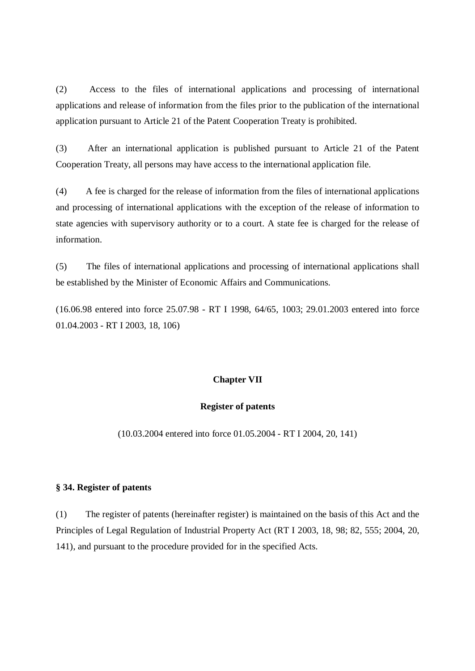(2) Access to the files of international applications and processing of international applications and release of information from the files prior to the publication of the international application pursuant to Article 21 of the Patent Cooperation Treaty is prohibited.

(3) After an international application is published pursuant to Article 21 of the Patent Cooperation Treaty, all persons may have access to the international application file.

(4) A fee is charged for the release of information from the files of international applications and processing of international applications with the exception of the release of information to state agencies with supervisory authority or to a court. A state fee is charged for the release of information.

(5) The files of international applications and processing of international applications shall be established by the Minister of Economic Affairs and Communications.

(16.06.98 entered into force 25.07.98 - RT I 1998, 64/65, 1003; 29.01.2003 entered into force 01.04.2003 - RT I 2003, 18, 106)

### **Chapter VII**

### **Register of patents**

(10.03.2004 entered into force 01.05.2004 - RT I 2004, 20, 141)

### **§ 34. Register of patents**

(1) The register of patents (hereinafter register) is maintained on the basis of this Act and the Principles of Legal Regulation of Industrial Property Act (RT I 2003, 18, 98; 82, 555; 2004, 20, 141), and pursuant to the procedure provided for in the specified Acts.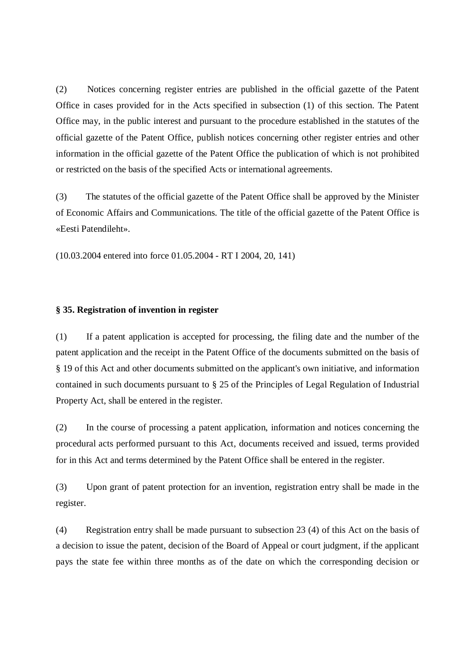(2) Notices concerning register entries are published in the official gazette of the Patent Office in cases provided for in the Acts specified in subsection (1) of this section. The Patent Office may, in the public interest and pursuant to the procedure established in the statutes of the official gazette of the Patent Office, publish notices concerning other register entries and other information in the official gazette of the Patent Office the publication of which is not prohibited or restricted on the basis of the specified Acts or international agreements.

(3) The statutes of the official gazette of the Patent Office shall be approved by the Minister of Economic Affairs and Communications. The title of the official gazette of the Patent Office is «Eesti Patendileht».

(10.03.2004 entered into force 01.05.2004 - RT I 2004, 20, 141)

### **§ 35. Registration of invention in register**

(1) If a patent application is accepted for processing, the filing date and the number of the patent application and the receipt in the Patent Office of the documents submitted on the basis of § 19 of this Act and other documents submitted on the applicant's own initiative, and information contained in such documents pursuant to § 25 of the Principles of Legal Regulation of Industrial Property Act, shall be entered in the register.

(2) In the course of processing a patent application, information and notices concerning the procedural acts performed pursuant to this Act, documents received and issued, terms provided for in this Act and terms determined by the Patent Office shall be entered in the register.

(3) Upon grant of patent protection for an invention, registration entry shall be made in the register.

(4) Registration entry shall be made pursuant to subsection 23 (4) of this Act on the basis of a decision to issue the patent, decision of the Board of Appeal or court judgment, if the applicant pays the state fee within three months as of the date on which the corresponding decision or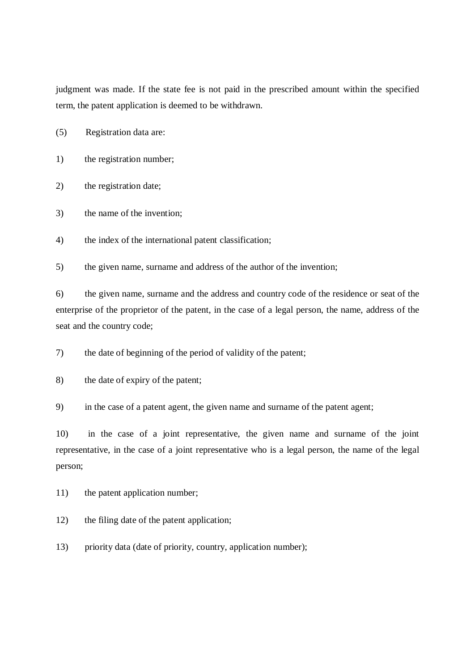judgment was made. If the state fee is not paid in the prescribed amount within the specified term, the patent application is deemed to be withdrawn.

- (5) Registration data are:
- 1) the registration number;
- 2) the registration date;
- 3) the name of the invention;
- 4) the index of the international patent classification;

5) the given name, surname and address of the author of the invention;

6) the given name, surname and the address and country code of the residence or seat of the enterprise of the proprietor of the patent, in the case of a legal person, the name, address of the seat and the country code;

7) the date of beginning of the period of validity of the patent;

8) the date of expiry of the patent;

9) in the case of a patent agent, the given name and surname of the patent agent;

10) in the case of a joint representative, the given name and surname of the joint representative, in the case of a joint representative who is a legal person, the name of the legal person;

11) the patent application number;

12) the filing date of the patent application;

13) priority data (date of priority, country, application number);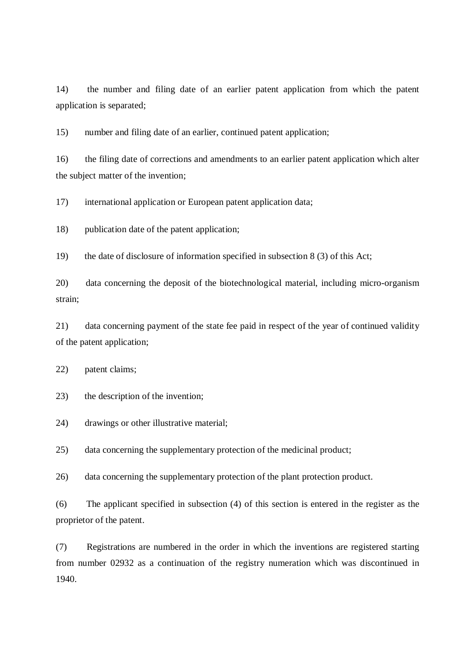14) the number and filing date of an earlier patent application from which the patent application is separated;

15) number and filing date of an earlier, continued patent application;

16) the filing date of corrections and amendments to an earlier patent application which alter the subject matter of the invention;

17) international application or European patent application data;

18) publication date of the patent application;

19) the date of disclosure of information specified in subsection 8 (3) of this Act;

20) data concerning the deposit of the biotechnological material, including micro-organism strain;

21) data concerning payment of the state fee paid in respect of the year of continued validity of the patent application;

22) patent claims;

23) the description of the invention;

24) drawings or other illustrative material;

25) data concerning the supplementary protection of the medicinal product;

26) data concerning the supplementary protection of the plant protection product.

(6) The applicant specified in subsection (4) of this section is entered in the register as the proprietor of the patent.

(7) Registrations are numbered in the order in which the inventions are registered starting from number 02932 as a continuation of the registry numeration which was discontinued in 1940.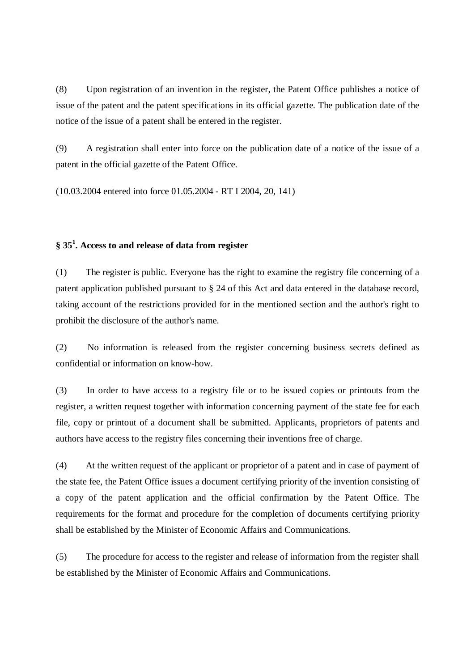(8) Upon registration of an invention in the register, the Patent Office publishes a notice of issue of the patent and the patent specifications in its official gazette. The publication date of the notice of the issue of a patent shall be entered in the register.

(9) A registration shall enter into force on the publication date of a notice of the issue of a patent in the official gazette of the Patent Office.

(10.03.2004 entered into force 01.05.2004 - RT I 2004, 20, 141)

# **§ 35 1 . Access to and release of data from register**

(1) The register is public. Everyone has the right to examine the registry file concerning of a patent application published pursuant to § 24 of this Act and data entered in the database record, taking account of the restrictions provided for in the mentioned section and the author's right to prohibit the disclosure of the author's name.

(2) No information is released from the register concerning business secrets defined as confidential or information on know-how.

(3) In order to have access to a registry file or to be issued copies or printouts from the register, a written request together with information concerning payment of the state fee for each file, copy or printout of a document shall be submitted. Applicants, proprietors of patents and authors have access to the registry files concerning their inventions free of charge.

(4) At the written request of the applicant or proprietor of a patent and in case of payment of the state fee, the Patent Office issues a document certifying priority of the invention consisting of a copy of the patent application and the official confirmation by the Patent Office. The requirements for the format and procedure for the completion of documents certifying priority shall be established by the Minister of Economic Affairs and Communications.

(5) The procedure for access to the register and release of information from the register shall be established by the Minister of Economic Affairs and Communications.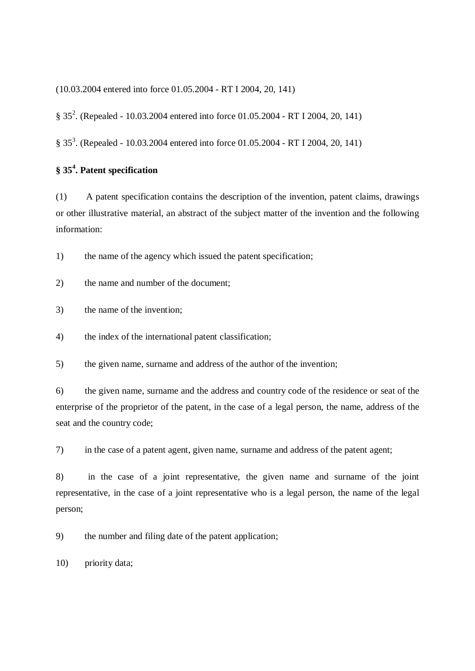(10.03.2004 entered into force 01.05.2004 - RT I 2004, 20, 141)

§ 35<sup>2</sup>. (Repealed - 10.03.2004 entered into force 01.05.2004 - RT I 2004, 20, 141)

§ 35<sup>3</sup>. (Repealed - 10.03.2004 entered into force 01.05.2004 - RT I 2004, 20, 141)

# **§ 35 4 . Patent specification**

(1) A patent specification contains the description of the invention, patent claims, drawings or other illustrative material, an abstract of the subject matter of the invention and the following information:

1) the name of the agency which issued the patent specification;

2) the name and number of the document;

3) the name of the invention;

4) the index of the international patent classification;

5) the given name, surname and address of the author of the invention;

6) the given name, surname and the address and country code of the residence or seat of the enterprise of the proprietor of the patent, in the case of a legal person, the name, address of the seat and the country code;

7) in the case of a patent agent, given name, surname and address of the patent agent;

8) in the case of a joint representative, the given name and surname of the joint representative, in the case of a joint representative who is a legal person, the name of the legal person;

9) the number and filing date of the patent application;

10) priority data;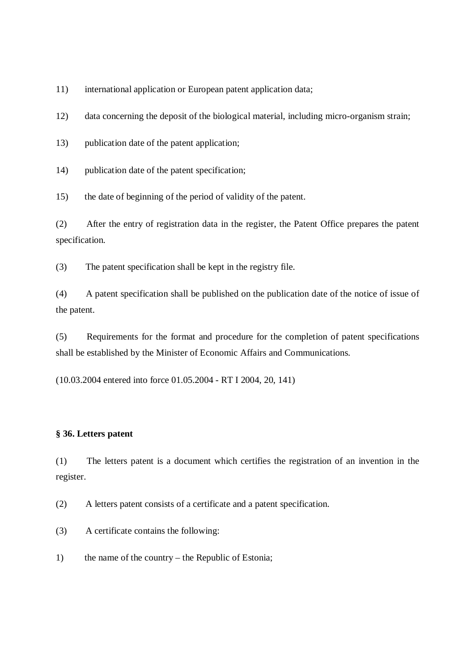11) international application or European patent application data;

12) data concerning the deposit of the biological material, including micro-organism strain;

13) publication date of the patent application;

14) publication date of the patent specification;

15) the date of beginning of the period of validity of the patent.

(2) After the entry of registration data in the register, the Patent Office prepares the patent specification.

(3) The patent specification shall be kept in the registry file.

(4) A patent specification shall be published on the publication date of the notice of issue of the patent.

(5) Requirements for the format and procedure for the completion of patent specifications shall be established by the Minister of Economic Affairs and Communications.

(10.03.2004 entered into force 01.05.2004 - RT I 2004, 20, 141)

#### **§ 36. Letters patent**

(1) The letters patent is a document which certifies the registration of an invention in the register.

(2) A letters patent consists of a certificate and a patent specification.

(3) A certificate contains the following:

1) the name of the country – the Republic of Estonia;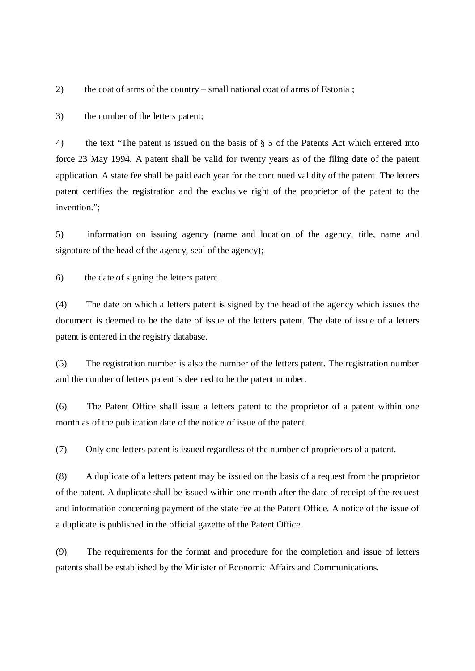2) the coat of arms of the country – small national coat of arms of Estonia ;

3) the number of the letters patent;

4) the text "The patent is issued on the basis of § 5 of the Patents Act which entered into force 23 May 1994. A patent shall be valid for twenty years as of the filing date of the patent application. A state fee shall be paid each year for the continued validity of the patent. The letters patent certifies the registration and the exclusive right of the proprietor of the patent to the invention.";

5) information on issuing agency (name and location of the agency, title, name and signature of the head of the agency, seal of the agency);

6) the date of signing the letters patent.

(4) The date on which a letters patent is signed by the head of the agency which issues the document is deemed to be the date of issue of the letters patent. The date of issue of a letters patent is entered in the registry database.

(5) The registration number is also the number of the letters patent. The registration number and the number of letters patent is deemed to be the patent number.

(6) The Patent Office shall issue a letters patent to the proprietor of a patent within one month as of the publication date of the notice of issue of the patent.

(7) Only one letters patent is issued regardless of the number of proprietors of a patent.

(8) A duplicate of a letters patent may be issued on the basis of a request from the proprietor of the patent. A duplicate shall be issued within one month after the date of receipt of the request and information concerning payment of the state fee at the Patent Office. A notice of the issue of a duplicate is published in the official gazette of the Patent Office.

(9) The requirements for the format and procedure for the completion and issue of letters patents shall be established by the Minister of Economic Affairs and Communications.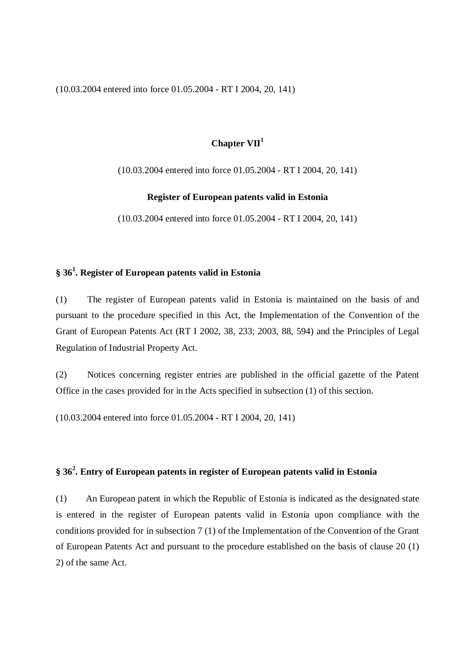(10.03.2004 entered into force 01.05.2004 - RT I 2004, 20, 141)

# **Chapter VII 1**

(10.03.2004 entered into force 01.05.2004 - RT I 2004, 20, 141)

#### **Register of European patents valid in Estonia**

(10.03.2004 entered into force 01.05.2004 - RT I 2004, 20, 141)

# **§ 36 1 . Register of European patents valid in Estonia**

(1) The register of European patents valid in Estonia is maintained on the basis of and pursuant to the procedure specified in this Act, the Implementation of the Convention of the Grant of European Patents Act (RT I 2002, 38, 233; 2003, 88, 594) and the Principles of Legal Regulation of Industrial Property Act.

(2) Notices concerning register entries are published in the official gazette of the Patent Office in the cases provided for in the Acts specified in subsection (1) of this section.

(10.03.2004 entered into force 01.05.2004 - RT I 2004, 20, 141)

# **§ 36 2 . Entry of European patents in register of European patents valid in Estonia**

(1) An European patent in which the Republic of Estonia is indicated as the designated state is entered in the register of European patents valid in Estonia upon compliance with the conditions provided for in subsection 7 (1) of the Implementation of the Convention of the Grant of European Patents Act and pursuant to the procedure established on the basis of clause 20 (1) 2) of the same Act.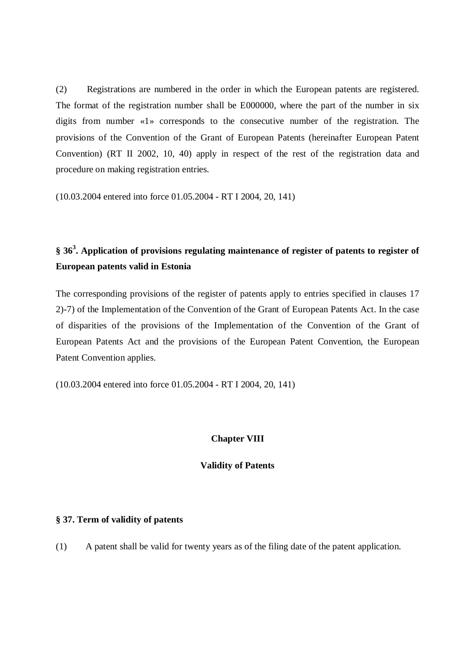(2) Registrations are numbered in the order in which the European patents are registered. The format of the registration number shall be E000000, where the part of the number in six digits from number «1» corresponds to the consecutive number of the registration. The provisions of the Convention of the Grant of European Patents (hereinafter European Patent Convention) (RT II 2002, 10, 40) apply in respect of the rest of the registration data and procedure on making registration entries.

(10.03.2004 entered into force 01.05.2004 - RT I 2004, 20, 141)

# **§ 36 3 . Application of provisions regulating maintenance of register of patents to register of European patents valid in Estonia**

The corresponding provisions of the register of patents apply to entries specified in clauses 17 2)-7) of the Implementation of the Convention of the Grant of European Patents Act. In the case of disparities of the provisions of the Implementation of the Convention of the Grant of European Patents Act and the provisions of the European Patent Convention, the European Patent Convention applies.

(10.03.2004 entered into force 01.05.2004 - RT I 2004, 20, 141)

### **Chapter VIII**

### **Validity of Patents**

### **§ 37. Term of validity of patents**

(1) A patent shall be valid for twenty years as of the filing date of the patent application.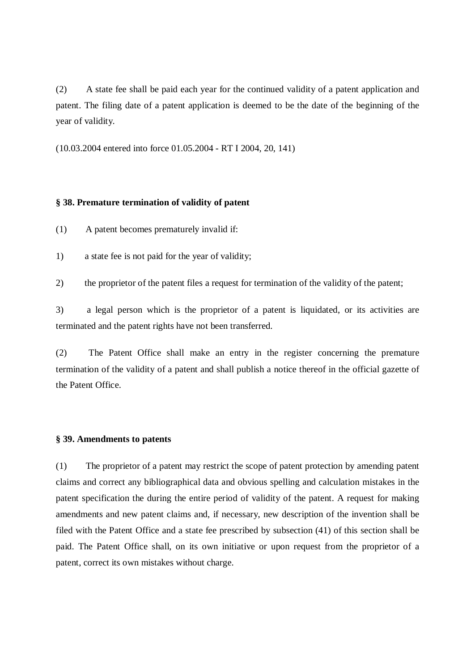(2) A state fee shall be paid each year for the continued validity of a patent application and patent. The filing date of a patent application is deemed to be the date of the beginning of the year of validity.

(10.03.2004 entered into force 01.05.2004 - RT I 2004, 20, 141)

### **§ 38. Premature termination of validity of patent**

- (1) A patent becomes prematurely invalid if:
- 1) a state fee is not paid for the year of validity;
- 2) the proprietor of the patent files a request for termination of the validity of the patent;

3) a legal person which is the proprietor of a patent is liquidated, or its activities are terminated and the patent rights have not been transferred.

(2) The Patent Office shall make an entry in the register concerning the premature termination of the validity of a patent and shall publish a notice thereof in the official gazette of the Patent Office.

### **§ 39. Amendments to patents**

(1) The proprietor of a patent may restrict the scope of patent protection by amending patent claims and correct any bibliographical data and obvious spelling and calculation mistakes in the patent specification the during the entire period of validity of the patent. A request for making amendments and new patent claims and, if necessary, new description of the invention shall be filed with the Patent Office and a state fee prescribed by subsection (41) of this section shall be paid. The Patent Office shall, on its own initiative or upon request from the proprietor of a patent, correct its own mistakes without charge.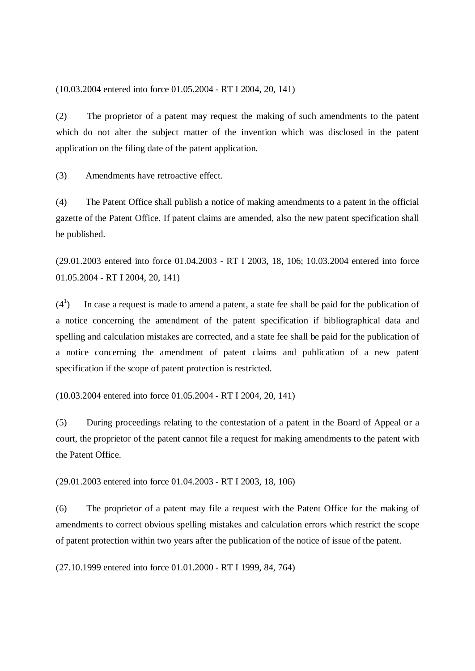(10.03.2004 entered into force 01.05.2004 - RT I 2004, 20, 141)

(2) The proprietor of a patent may request the making of such amendments to the patent which do not alter the subject matter of the invention which was disclosed in the patent application on the filing date of the patent application.

(3) Amendments have retroactive effect.

(4) The Patent Office shall publish a notice of making amendments to a patent in the official gazette of the Patent Office. If patent claims are amended, also the new patent specification shall be published.

(29.01.2003 entered into force 01.04.2003 - RT I 2003, 18, 106; 10.03.2004 entered into force 01.05.2004 - RT I 2004, 20, 141)

 $(4^1)$ ) In case a request is made to amend a patent, a state fee shall be paid for the publication of a notice concerning the amendment of the patent specification if bibliographical data and spelling and calculation mistakes are corrected, and a state fee shall be paid for the publication of a notice concerning the amendment of patent claims and publication of a new patent specification if the scope of patent protection is restricted.

(10.03.2004 entered into force 01.05.2004 - RT I 2004, 20, 141)

(5) During proceedings relating to the contestation of a patent in the Board of Appeal or a court, the proprietor of the patent cannot file a request for making amendments to the patent with the Patent Office.

(29.01.2003 entered into force 01.04.2003 - RT I 2003, 18, 106)

(6) The proprietor of a patent may file a request with the Patent Office for the making of amendments to correct obvious spelling mistakes and calculation errors which restrict the scope of patent protection within two years after the publication of the notice of issue of the patent.

(27.10.1999 entered into force 01.01.2000 - RT I 1999, 84, 764)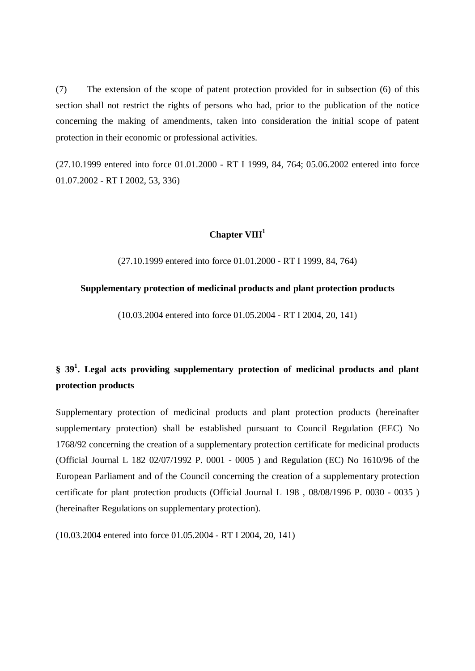(7) The extension of the scope of patent protection provided for in subsection (6) of this section shall not restrict the rights of persons who had, prior to the publication of the notice concerning the making of amendments, taken into consideration the initial scope of patent protection in their economic or professional activities.

(27.10.1999 entered into force 01.01.2000 - RT I 1999, 84, 764; 05.06.2002 entered into force 01.07.2002 - RT I 2002, 53, 336)

# **Chapter VIII 1**

(27.10.1999 entered into force 01.01.2000 - RT I 1999, 84, 764)

### **Supplementary protection of medicinal products and plant protection products**

(10.03.2004 entered into force 01.05.2004 - RT I 2004, 20, 141)

# **§ 39 1 . Legal acts providing supplementary protection of medicinal products and plant protection products**

Supplementary protection of medicinal products and plant protection products (hereinafter supplementary protection) shall be established pursuant to Council Regulation (EEC) No 1768/92 concerning the creation of a supplementary protection certificate for medicinal products (Official Journal L 182 02/07/1992 P. 0001 - 0005 ) and Regulation (EC) No 1610/96 of the European Parliament and of the Council concerning the creation of a supplementary protection certificate for plant protection products (Official Journal L 198 , 08/08/1996 P. 0030 - 0035 ) (hereinafter Regulations on supplementary protection).

(10.03.2004 entered into force 01.05.2004 - RT I 2004, 20, 141)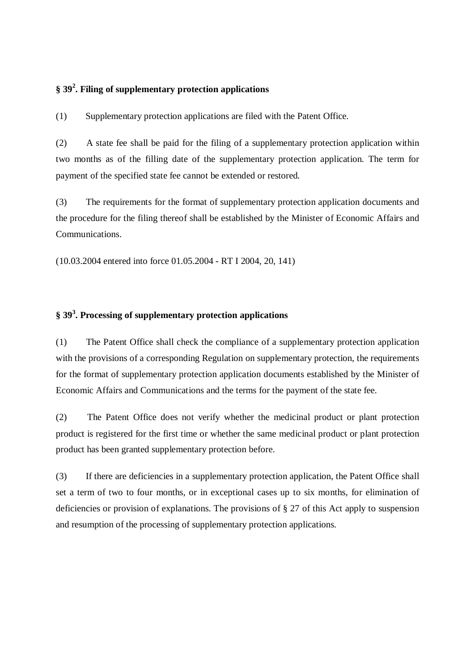# **§ 39 2 . Filing of supplementary protection applications**

(1) Supplementary protection applications are filed with the Patent Office.

(2) A state fee shall be paid for the filing of a supplementary protection application within two months as of the filling date of the supplementary protection application. The term for payment of the specified state fee cannot be extended or restored.

(3) The requirements for the format of supplementary protection application documents and the procedure for the filing thereof shall be established by the Minister of Economic Affairs and Communications.

(10.03.2004 entered into force 01.05.2004 - RT I 2004, 20, 141)

# **§ 39 3 . Processing of supplementary protection applications**

(1) The Patent Office shall check the compliance of a supplementary protection application with the provisions of a corresponding Regulation on supplementary protection, the requirements for the format of supplementary protection application documents established by the Minister of Economic Affairs and Communications and the terms for the payment of the state fee.

(2) The Patent Office does not verify whether the medicinal product or plant protection product is registered for the first time or whether the same medicinal product or plant protection product has been granted supplementary protection before.

(3) If there are deficiencies in a supplementary protection application, the Patent Office shall set a term of two to four months, or in exceptional cases up to six months, for elimination of deficiencies or provision of explanations. The provisions of § 27 of this Act apply to suspension and resumption of the processing of supplementary protection applications.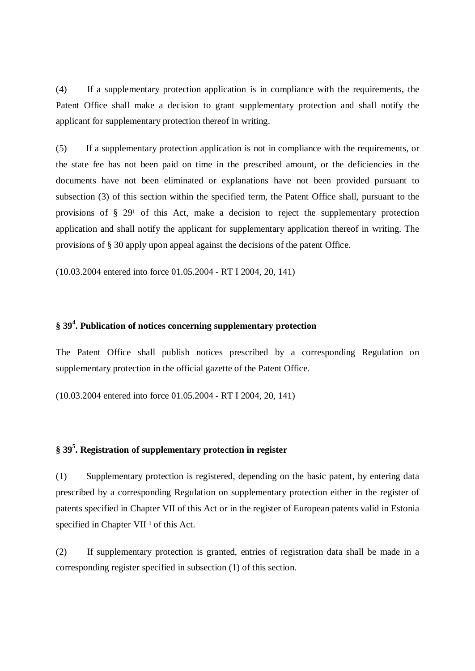(4) If a supplementary protection application is in compliance with the requirements, the Patent Office shall make a decision to grant supplementary protection and shall notify the applicant for supplementary protection thereof in writing.

(5) If a supplementary protection application is not in compliance with the requirements, or the state fee has not been paid on time in the prescribed amount, or the deficiencies in the documents have not been eliminated or explanations have not been provided pursuant to subsection (3) of this section within the specified term, the Patent Office shall, pursuant to the provisions of  $\S 29^1$  of this Act, make a decision to reject the supplementary protection application and shall notify the applicant for supplementary application thereof in writing. The provisions of § 30 apply upon appeal against the decisions of the patent Office.

(10.03.2004 entered into force 01.05.2004 - RT I 2004, 20, 141)

# **§ 39 4 . Publication of notices concerning supplementary protection**

The Patent Office shall publish notices prescribed by a corresponding Regulation on supplementary protection in the official gazette of the Patent Office.

(10.03.2004 entered into force 01.05.2004 - RT I 2004, 20, 141)

# **§ 39 5 . Registration of supplementary protection in register**

(1) Supplementary protection is registered, depending on the basic patent, by entering data prescribed by a corresponding Regulation on supplementary protection either in the register of patents specified in Chapter VII of this Act or in the register of European patents valid in Estonia specified in Chapter VII<sup>1</sup> of this Act.

(2) If supplementary protection is granted, entries of registration data shall be made in a corresponding register specified in subsection (1) of this section.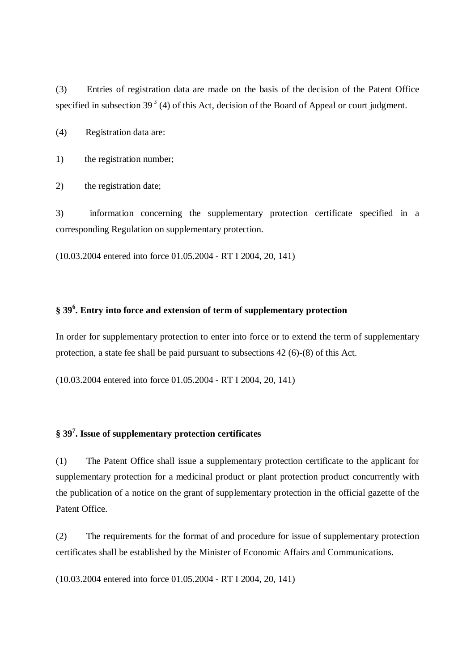(3) Entries of registration data are made on the basis of the decision of the Patent Office specified in subsection  $39<sup>3</sup>$  (4) of this Act, decision of the Board of Appeal or court judgment.

(4) Registration data are:

1) the registration number;

2) the registration date;

3) information concerning the supplementary protection certificate specified in a corresponding Regulation on supplementary protection.

(10.03.2004 entered into force 01.05.2004 - RT I 2004, 20, 141)

# **§ 39 6 . Entry into force and extension of term of supplementary protection**

In order for supplementary protection to enter into force or to extend the term of supplementary protection, a state fee shall be paid pursuant to subsections 42 (6)-(8) of this Act.

(10.03.2004 entered into force 01.05.2004 - RT I 2004, 20, 141)

# **§ 39 7 . Issue of supplementary protection certificates**

(1) The Patent Office shall issue a supplementary protection certificate to the applicant for supplementary protection for a medicinal product or plant protection product concurrently with the publication of a notice on the grant of supplementary protection in the official gazette of the Patent Office.

(2) The requirements for the format of and procedure for issue of supplementary protection certificates shall be established by the Minister of Economic Affairs and Communications.

(10.03.2004 entered into force 01.05.2004 - RT I 2004, 20, 141)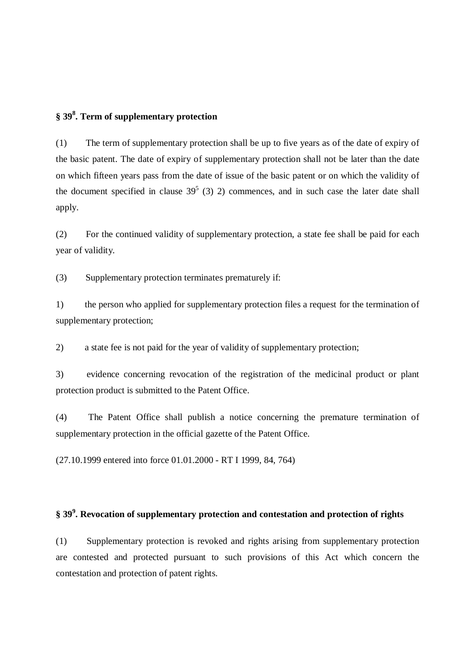# **§ 39 8 . Term of supplementary protection**

(1) The term of supplementary protection shall be up to five years as of the date of expiry of the basic patent. The date of expiry of supplementary protection shall not be later than the date on which fifteen years pass from the date of issue of the basic patent or on which the validity of the document specified in clause  $39^5$  (3) 2) commences, and in such case the later date shall apply.

(2) For the continued validity of supplementary protection, a state fee shall be paid for each year of validity.

(3) Supplementary protection terminates prematurely if:

1) the person who applied for supplementary protection files a request for the termination of supplementary protection;

2) a state fee is not paid for the year of validity of supplementary protection;

3) evidence concerning revocation of the registration of the medicinal product or plant protection product is submitted to the Patent Office.

(4) The Patent Office shall publish a notice concerning the premature termination of supplementary protection in the official gazette of the Patent Office.

(27.10.1999 entered into force 01.01.2000 - RT I 1999, 84, 764)

# **§ 39 9 . Revocation of supplementary protection and contestation and protection of rights**

(1) Supplementary protection is revoked and rights arising from supplementary protection are contested and protected pursuant to such provisions of this Act which concern the contestation and protection of patent rights.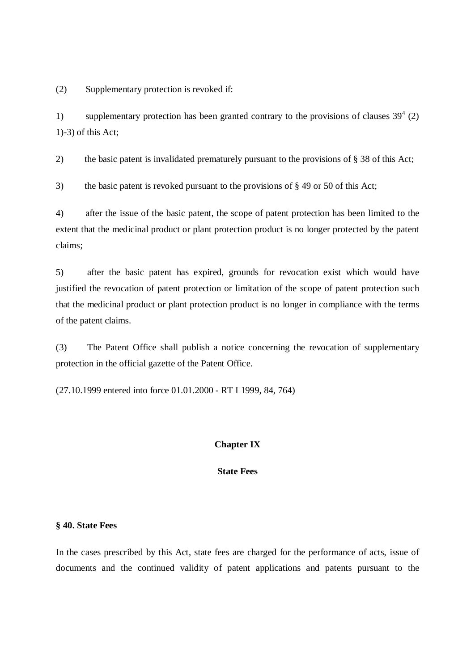(2) Supplementary protection is revoked if:

1) supplementary protection has been granted contrary to the provisions of clauses  $39^4$  (2) 1)-3) of this Act;

2) the basic patent is invalidated prematurely pursuant to the provisions of § 38 of this Act;

3) the basic patent is revoked pursuant to the provisions of § 49 or 50 of this Act;

4) after the issue of the basic patent, the scope of patent protection has been limited to the extent that the medicinal product or plant protection product is no longer protected by the patent claims;

5) after the basic patent has expired, grounds for revocation exist which would have justified the revocation of patent protection or limitation of the scope of patent protection such that the medicinal product or plant protection product is no longer in compliance with the terms of the patent claims.

(3) The Patent Office shall publish a notice concerning the revocation of supplementary protection in the official gazette of the Patent Office.

(27.10.1999 entered into force 01.01.2000 - RT I 1999, 84, 764)

### **Chapter IX**

### **State Fees**

### **§ 40. State Fees**

In the cases prescribed by this Act, state fees are charged for the performance of acts, issue of documents and the continued validity of patent applications and patents pursuant to the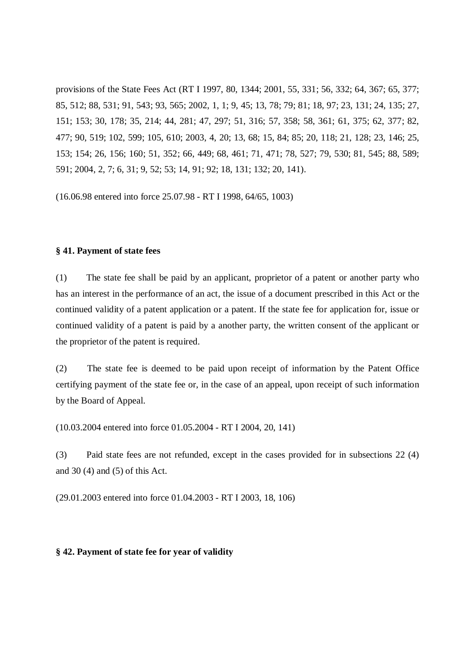provisions of the State Fees Act (RT I 1997, 80, 1344; 2001, 55, 331; 56, 332; 64, 367; 65, 377; 85, 512; 88, 531; 91, 543; 93, 565; 2002, 1, 1; 9, 45; 13, 78; 79; 81; 18, 97; 23, 131; 24, 135; 27, 151; 153; 30, 178; 35, 214; 44, 281; 47, 297; 51, 316; 57, 358; 58, 361; 61, 375; 62, 377; 82, 477; 90, 519; 102, 599; 105, 610; 2003, 4, 20; 13, 68; 15, 84; 85; 20, 118; 21, 128; 23, 146; 25, 153; 154; 26, 156; 160; 51, 352; 66, 449; 68, 461; 71, 471; 78, 527; 79, 530; 81, 545; 88, 589; 591; 2004, 2, 7; 6, 31; 9, 52; 53; 14, 91; 92; 18, 131; 132; 20, 141).

(16.06.98 entered into force 25.07.98 - RT I 1998, 64/65, 1003)

### **§ 41. Payment of state fees**

(1) The state fee shall be paid by an applicant, proprietor of a patent or another party who has an interest in the performance of an act, the issue of a document prescribed in this Act or the continued validity of a patent application or a patent. If the state fee for application for, issue or continued validity of a patent is paid by a another party, the written consent of the applicant or the proprietor of the patent is required.

(2) The state fee is deemed to be paid upon receipt of information by the Patent Office certifying payment of the state fee or, in the case of an appeal, upon receipt of such information by the Board of Appeal.

(10.03.2004 entered into force 01.05.2004 - RT I 2004, 20, 141)

(3) Paid state fees are not refunded, except in the cases provided for in subsections 22 (4) and 30 (4) and (5) of this Act.

(29.01.2003 entered into force 01.04.2003 - RT I 2003, 18, 106)

### **§ 42. Payment of state fee for year of validity**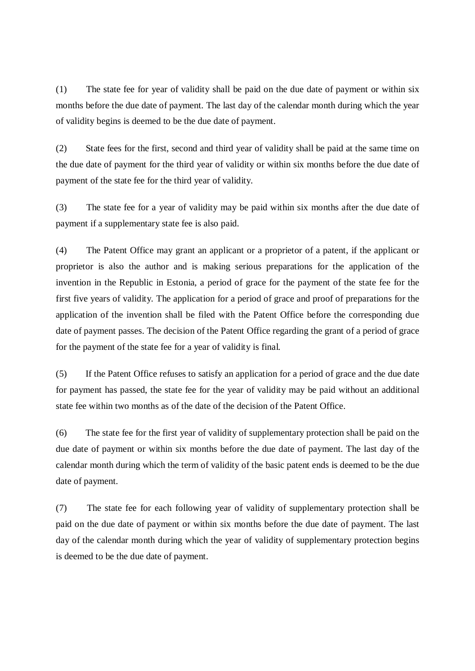(1) The state fee for year of validity shall be paid on the due date of payment or within six months before the due date of payment. The last day of the calendar month during which the year of validity begins is deemed to be the due date of payment.

(2) State fees for the first, second and third year of validity shall be paid at the same time on the due date of payment for the third year of validity or within six months before the due date of payment of the state fee for the third year of validity.

(3) The state fee for a year of validity may be paid within six months after the due date of payment if a supplementary state fee is also paid.

(4) The Patent Office may grant an applicant or a proprietor of a patent, if the applicant or proprietor is also the author and is making serious preparations for the application of the invention in the Republic in Estonia, a period of grace for the payment of the state fee for the first five years of validity. The application for a period of grace and proof of preparations for the application of the invention shall be filed with the Patent Office before the corresponding due date of payment passes. The decision of the Patent Office regarding the grant of a period of grace for the payment of the state fee for a year of validity is final.

(5) If the Patent Office refuses to satisfy an application for a period of grace and the due date for payment has passed, the state fee for the year of validity may be paid without an additional state fee within two months as of the date of the decision of the Patent Office.

(6) The state fee for the first year of validity of supplementary protection shall be paid on the due date of payment or within six months before the due date of payment. The last day of the calendar month during which the term of validity of the basic patent ends is deemed to be the due date of payment.

(7) The state fee for each following year of validity of supplementary protection shall be paid on the due date of payment or within six months before the due date of payment. The last day of the calendar month during which the year of validity of supplementary protection begins is deemed to be the due date of payment.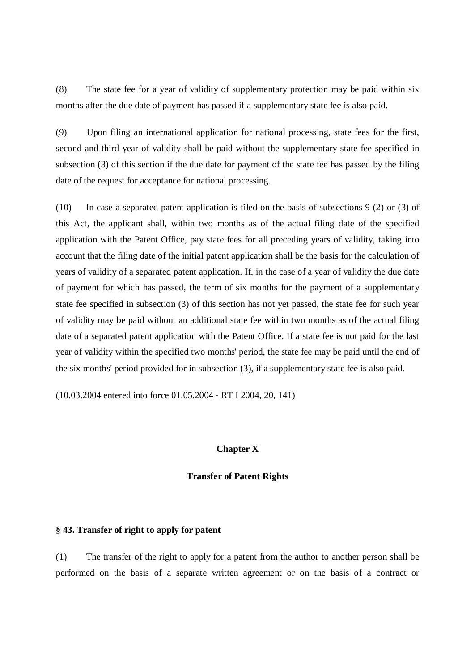(8) The state fee for a year of validity of supplementary protection may be paid within six months after the due date of payment has passed if a supplementary state fee is also paid.

(9) Upon filing an international application for national processing, state fees for the first, second and third year of validity shall be paid without the supplementary state fee specified in subsection (3) of this section if the due date for payment of the state fee has passed by the filing date of the request for acceptance for national processing.

(10) In case a separated patent application is filed on the basis of subsections 9 (2) or (3) of this Act, the applicant shall, within two months as of the actual filing date of the specified application with the Patent Office, pay state fees for all preceding years of validity, taking into account that the filing date of the initial patent application shall be the basis for the calculation of years of validity of a separated patent application. If, in the case of a year of validity the due date of payment for which has passed, the term of six months for the payment of a supplementary state fee specified in subsection (3) of this section has not yet passed, the state fee for such year of validity may be paid without an additional state fee within two months as of the actual filing date of a separated patent application with the Patent Office. If a state fee is not paid for the last year of validity within the specified two months' period, the state fee may be paid until the end of the six months' period provided for in subsection (3), if a supplementary state fee is also paid.

(10.03.2004 entered into force 01.05.2004 - RT I 2004, 20, 141)

### **Chapter X**

#### **Transfer of Patent Rights**

### **§ 43. Transfer of right to apply for patent**

(1) The transfer of the right to apply for a patent from the author to another person shall be performed on the basis of a separate written agreement or on the basis of a contract or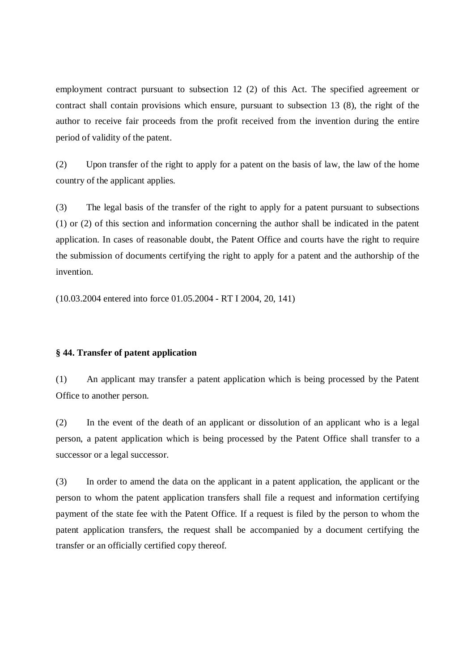employment contract pursuant to subsection 12 (2) of this Act. The specified agreement or contract shall contain provisions which ensure, pursuant to subsection 13 (8), the right of the author to receive fair proceeds from the profit received from the invention during the entire period of validity of the patent.

(2) Upon transfer of the right to apply for a patent on the basis of law, the law of the home country of the applicant applies.

(3) The legal basis of the transfer of the right to apply for a patent pursuant to subsections (1) or (2) of this section and information concerning the author shall be indicated in the patent application. In cases of reasonable doubt, the Patent Office and courts have the right to require the submission of documents certifying the right to apply for a patent and the authorship of the invention.

(10.03.2004 entered into force 01.05.2004 - RT I 2004, 20, 141)

### **§ 44. Transfer of patent application**

(1) An applicant may transfer a patent application which is being processed by the Patent Office to another person.

(2) In the event of the death of an applicant or dissolution of an applicant who is a legal person, a patent application which is being processed by the Patent Office shall transfer to a successor or a legal successor.

(3) In order to amend the data on the applicant in a patent application, the applicant or the person to whom the patent application transfers shall file a request and information certifying payment of the state fee with the Patent Office. If a request is filed by the person to whom the patent application transfers, the request shall be accompanied by a document certifying the transfer or an officially certified copy thereof.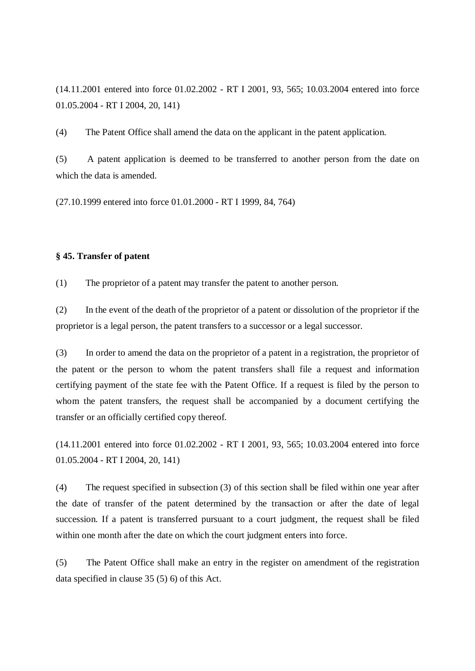(14.11.2001 entered into force 01.02.2002 - RT I 2001, 93, 565; 10.03.2004 entered into force 01.05.2004 - RT I 2004, 20, 141)

(4) The Patent Office shall amend the data on the applicant in the patent application.

(5) A patent application is deemed to be transferred to another person from the date on which the data is amended.

(27.10.1999 entered into force 01.01.2000 - RT I 1999, 84, 764)

### **§ 45. Transfer of patent**

(1) The proprietor of a patent may transfer the patent to another person.

(2) In the event of the death of the proprietor of a patent or dissolution of the proprietor if the proprietor is a legal person, the patent transfers to a successor or a legal successor.

(3) In order to amend the data on the proprietor of a patent in a registration, the proprietor of the patent or the person to whom the patent transfers shall file a request and information certifying payment of the state fee with the Patent Office. If a request is filed by the person to whom the patent transfers, the request shall be accompanied by a document certifying the transfer or an officially certified copy thereof.

(14.11.2001 entered into force 01.02.2002 - RT I 2001, 93, 565; 10.03.2004 entered into force 01.05.2004 - RT I 2004, 20, 141)

(4) The request specified in subsection (3) of this section shall be filed within one year after the date of transfer of the patent determined by the transaction or after the date of legal succession. If a patent is transferred pursuant to a court judgment, the request shall be filed within one month after the date on which the court judgment enters into force.

(5) The Patent Office shall make an entry in the register on amendment of the registration data specified in clause 35 (5) 6) of this Act.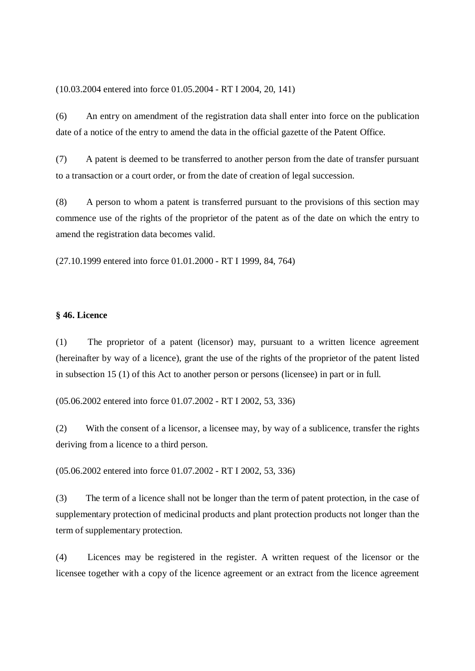(10.03.2004 entered into force 01.05.2004 - RT I 2004, 20, 141)

(6) An entry on amendment of the registration data shall enter into force on the publication date of a notice of the entry to amend the data in the official gazette of the Patent Office.

(7) A patent is deemed to be transferred to another person from the date of transfer pursuant to a transaction or a court order, or from the date of creation of legal succession.

(8) A person to whom a patent is transferred pursuant to the provisions of this section may commence use of the rights of the proprietor of the patent as of the date on which the entry to amend the registration data becomes valid.

(27.10.1999 entered into force 01.01.2000 - RT I 1999, 84, 764)

#### **§ 46. Licence**

(1) The proprietor of a patent (licensor) may, pursuant to a written licence agreement (hereinafter by way of a licence), grant the use of the rights of the proprietor of the patent listed in subsection 15 (1) of this Act to another person or persons (licensee) in part or in full.

(05.06.2002 entered into force 01.07.2002 - RT I 2002, 53, 336)

(2) With the consent of a licensor, a licensee may, by way of a sublicence, transfer the rights deriving from a licence to a third person.

(05.06.2002 entered into force 01.07.2002 - RT I 2002, 53, 336)

(3) The term of a licence shall not be longer than the term of patent protection, in the case of supplementary protection of medicinal products and plant protection products not longer than the term of supplementary protection.

(4) Licences may be registered in the register. A written request of the licensor or the licensee together with a copy of the licence agreement or an extract from the licence agreement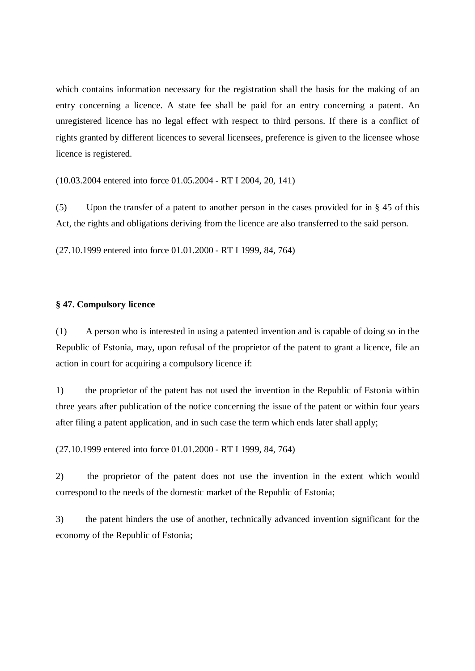which contains information necessary for the registration shall the basis for the making of an entry concerning a licence. A state fee shall be paid for an entry concerning a patent. An unregistered licence has no legal effect with respect to third persons. If there is a conflict of rights granted by different licences to several licensees, preference is given to the licensee whose licence is registered.

(10.03.2004 entered into force 01.05.2004 - RT I 2004, 20, 141)

(5) Upon the transfer of a patent to another person in the cases provided for in § 45 of this Act, the rights and obligations deriving from the licence are also transferred to the said person.

(27.10.1999 entered into force 01.01.2000 - RT I 1999, 84, 764)

#### **§ 47. Compulsory licence**

(1) A person who is interested in using a patented invention and is capable of doing so in the Republic of Estonia, may, upon refusal of the proprietor of the patent to grant a licence, file an action in court for acquiring a compulsory licence if:

1) the proprietor of the patent has not used the invention in the Republic of Estonia within three years after publication of the notice concerning the issue of the patent or within four years after filing a patent application, and in such case the term which ends later shall apply;

(27.10.1999 entered into force 01.01.2000 - RT I 1999, 84, 764)

2) the proprietor of the patent does not use the invention in the extent which would correspond to the needs of the domestic market of the Republic of Estonia;

3) the patent hinders the use of another, technically advanced invention significant for the economy of the Republic of Estonia;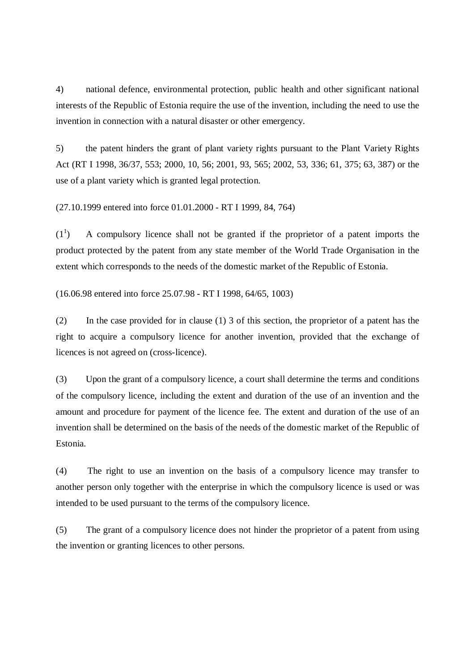4) national defence, environmental protection, public health and other significant national interests of the Republic of Estonia require the use of the invention, including the need to use the invention in connection with a natural disaster or other emergency.

5) the patent hinders the grant of plant variety rights pursuant to the Plant Variety Rights Act (RT I 1998, 36/37, 553; 2000, 10, 56; 2001, 93, 565; 2002, 53, 336; 61, 375; 63, 387) or the use of a plant variety which is granted legal protection.

(27.10.1999 entered into force 01.01.2000 - RT I 1999, 84, 764)

 $(1^1$ ) A compulsory licence shall not be granted if the proprietor of a patent imports the product protected by the patent from any state member of the World Trade Organisation in the extent which corresponds to the needs of the domestic market of the Republic of Estonia.

(16.06.98 entered into force 25.07.98 - RT I 1998, 64/65, 1003)

(2) In the case provided for in clause (1) 3 of this section, the proprietor of a patent has the right to acquire a compulsory licence for another invention, provided that the exchange of licences is not agreed on (cross-licence).

(3) Upon the grant of a compulsory licence, a court shall determine the terms and conditions of the compulsory licence, including the extent and duration of the use of an invention and the amount and procedure for payment of the licence fee. The extent and duration of the use of an invention shall be determined on the basis of the needs of the domestic market of the Republic of Estonia.

(4) The right to use an invention on the basis of a compulsory licence may transfer to another person only together with the enterprise in which the compulsory licence is used or was intended to be used pursuant to the terms of the compulsory licence.

(5) The grant of a compulsory licence does not hinder the proprietor of a patent from using the invention or granting licences to other persons.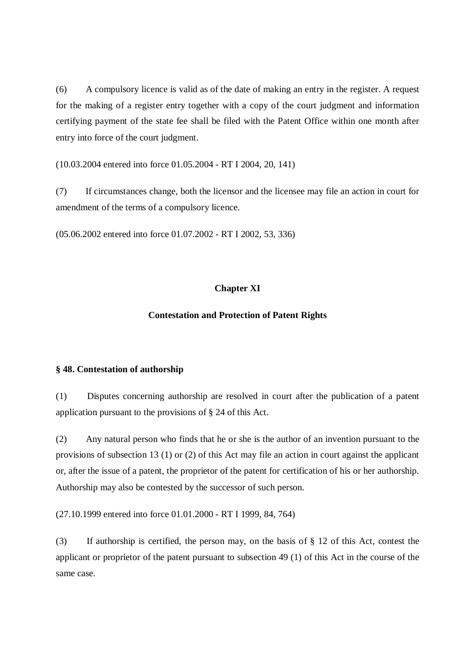(6) A compulsory licence is valid as of the date of making an entry in the register. A request for the making of a register entry together with a copy of the court judgment and information certifying payment of the state fee shall be filed with the Patent Office within one month after entry into force of the court judgment.

(10.03.2004 entered into force 01.05.2004 - RT I 2004, 20, 141)

(7) If circumstances change, both the licensor and the licensee may file an action in court for amendment of the terms of a compulsory licence.

(05.06.2002 entered into force 01.07.2002 - RT I 2002, 53, 336)

### **Chapter XI**

### **Contestation and Protection of Patent Rights**

### **§ 48. Contestation of authorship**

(1) Disputes concerning authorship are resolved in court after the publication of a patent application pursuant to the provisions of § 24 of this Act.

(2) Any natural person who finds that he or she is the author of an invention pursuant to the provisions of subsection 13 (1) or (2) of this Act may file an action in court against the applicant or, after the issue of a patent, the proprietor of the patent for certification of his or her authorship. Authorship may also be contested by the successor of such person.

(27.10.1999 entered into force 01.01.2000 - RT I 1999, 84, 764)

(3) If authorship is certified, the person may, on the basis of § 12 of this Act, contest the applicant or proprietor of the patent pursuant to subsection 49 (1) of this Act in the course of the same case.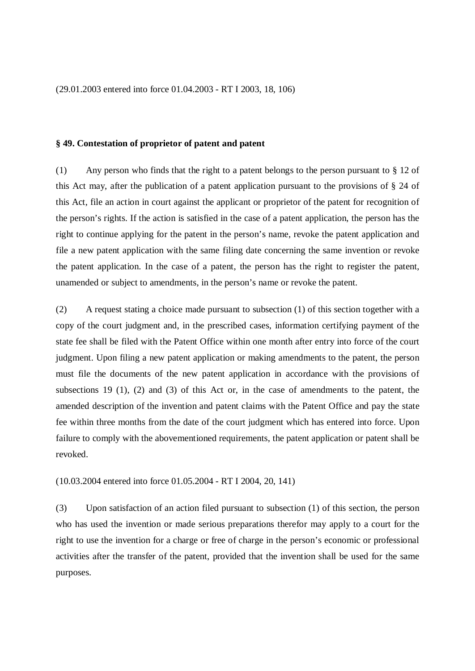(29.01.2003 entered into force 01.04.2003 - RT I 2003, 18, 106)

### **§ 49. Contestation of proprietor of patent and patent**

(1) Any person who finds that the right to a patent belongs to the person pursuant to § 12 of this Act may, after the publication of a patent application pursuant to the provisions of § 24 of this Act, file an action in court against the applicant or proprietor of the patent for recognition of the person's rights. If the action is satisfied in the case of a patent application, the person has the right to continue applying for the patent in the person's name, revoke the patent application and file a new patent application with the same filing date concerning the same invention or revoke the patent application. In the case of a patent, the person has the right to register the patent, unamended or subject to amendments, in the person's name or revoke the patent.

(2) A request stating a choice made pursuant to subsection (1) of this section together with a copy of the court judgment and, in the prescribed cases, information certifying payment of the state fee shall be filed with the Patent Office within one month after entry into force of the court judgment. Upon filing a new patent application or making amendments to the patent, the person must file the documents of the new patent application in accordance with the provisions of subsections 19 (1), (2) and (3) of this Act or, in the case of amendments to the patent, the amended description of the invention and patent claims with the Patent Office and pay the state fee within three months from the date of the court judgment which has entered into force. Upon failure to comply with the abovementioned requirements, the patent application or patent shall be revoked.

(10.03.2004 entered into force 01.05.2004 - RT I 2004, 20, 141)

(3) Upon satisfaction of an action filed pursuant to subsection (1) of this section, the person who has used the invention or made serious preparations therefor may apply to a court for the right to use the invention for a charge or free of charge in the person's economic or professional activities after the transfer of the patent, provided that the invention shall be used for the same purposes.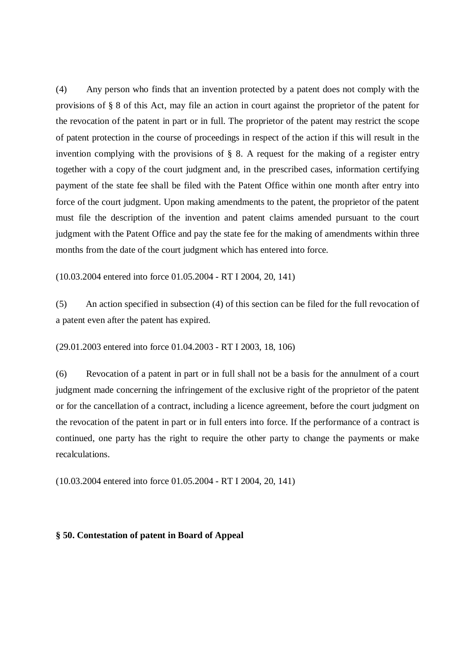(4) Any person who finds that an invention protected by a patent does not comply with the provisions of § 8 of this Act, may file an action in court against the proprietor of the patent for the revocation of the patent in part or in full. The proprietor of the patent may restrict the scope of patent protection in the course of proceedings in respect of the action if this will result in the invention complying with the provisions of § 8. A request for the making of a register entry together with a copy of the court judgment and, in the prescribed cases, information certifying payment of the state fee shall be filed with the Patent Office within one month after entry into force of the court judgment. Upon making amendments to the patent, the proprietor of the patent must file the description of the invention and patent claims amended pursuant to the court judgment with the Patent Office and pay the state fee for the making of amendments within three months from the date of the court judgment which has entered into force.

(10.03.2004 entered into force 01.05.2004 - RT I 2004, 20, 141)

(5) An action specified in subsection (4) of this section can be filed for the full revocation of a patent even after the patent has expired.

(29.01.2003 entered into force 01.04.2003 - RT I 2003, 18, 106)

(6) Revocation of a patent in part or in full shall not be a basis for the annulment of a court judgment made concerning the infringement of the exclusive right of the proprietor of the patent or for the cancellation of a contract, including a licence agreement, before the court judgment on the revocation of the patent in part or in full enters into force. If the performance of a contract is continued, one party has the right to require the other party to change the payments or make recalculations.

(10.03.2004 entered into force 01.05.2004 - RT I 2004, 20, 141)

### **§ 50. Contestation of patent in Board of Appeal**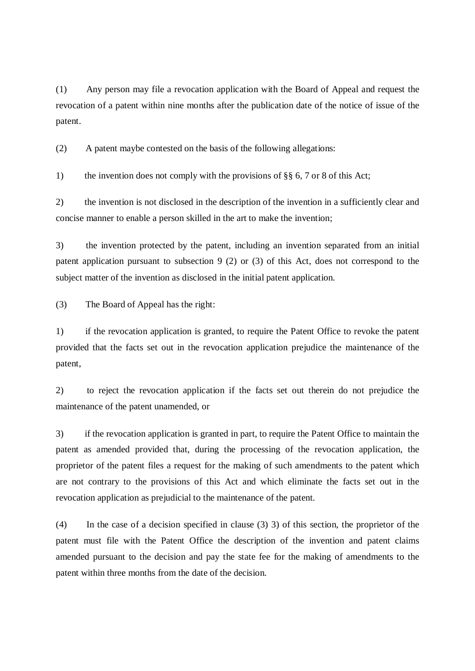(1) Any person may file a revocation application with the Board of Appeal and request the revocation of a patent within nine months after the publication date of the notice of issue of the patent.

(2) A patent maybe contested on the basis of the following allegations:

1) the invention does not comply with the provisions of §§ 6, 7 or 8 of this Act;

2) the invention is not disclosed in the description of the invention in a sufficiently clear and concise manner to enable a person skilled in the art to make the invention;

3) the invention protected by the patent, including an invention separated from an initial patent application pursuant to subsection 9 (2) or (3) of this Act, does not correspond to the subject matter of the invention as disclosed in the initial patent application.

(3) The Board of Appeal has the right:

1) if the revocation application is granted, to require the Patent Office to revoke the patent provided that the facts set out in the revocation application prejudice the maintenance of the patent,

2) to reject the revocation application if the facts set out therein do not prejudice the maintenance of the patent unamended, or

3) if the revocation application is granted in part, to require the Patent Office to maintain the patent as amended provided that, during the processing of the revocation application, the proprietor of the patent files a request for the making of such amendments to the patent which are not contrary to the provisions of this Act and which eliminate the facts set out in the revocation application as prejudicial to the maintenance of the patent.

(4) In the case of a decision specified in clause (3) 3) of this section, the proprietor of the patent must file with the Patent Office the description of the invention and patent claims amended pursuant to the decision and pay the state fee for the making of amendments to the patent within three months from the date of the decision.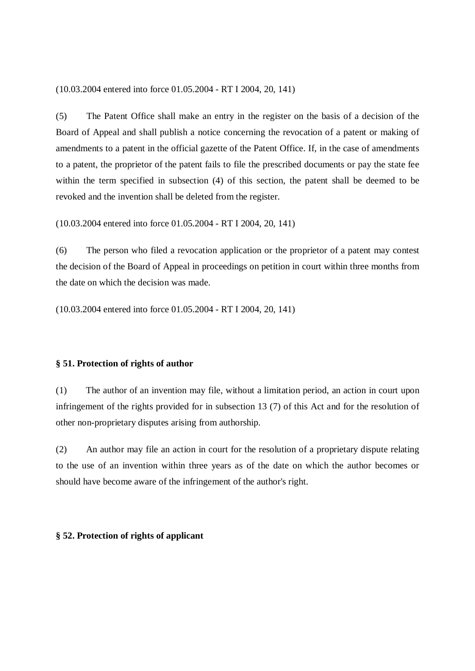(10.03.2004 entered into force 01.05.2004 - RT I 2004, 20, 141)

(5) The Patent Office shall make an entry in the register on the basis of a decision of the Board of Appeal and shall publish a notice concerning the revocation of a patent or making of amendments to a patent in the official gazette of the Patent Office. If, in the case of amendments to a patent, the proprietor of the patent fails to file the prescribed documents or pay the state fee within the term specified in subsection (4) of this section, the patent shall be deemed to be revoked and the invention shall be deleted from the register.

(10.03.2004 entered into force 01.05.2004 - RT I 2004, 20, 141)

(6) The person who filed a revocation application or the proprietor of a patent may contest the decision of the Board of Appeal in proceedings on petition in court within three months from the date on which the decision was made.

(10.03.2004 entered into force 01.05.2004 - RT I 2004, 20, 141)

### **§ 51. Protection of rights of author**

(1) The author of an invention may file, without a limitation period, an action in court upon infringement of the rights provided for in subsection 13 (7) of this Act and for the resolution of other non-proprietary disputes arising from authorship.

(2) An author may file an action in court for the resolution of a proprietary dispute relating to the use of an invention within three years as of the date on which the author becomes or should have become aware of the infringement of the author's right.

### **§ 52. Protection of rights of applicant**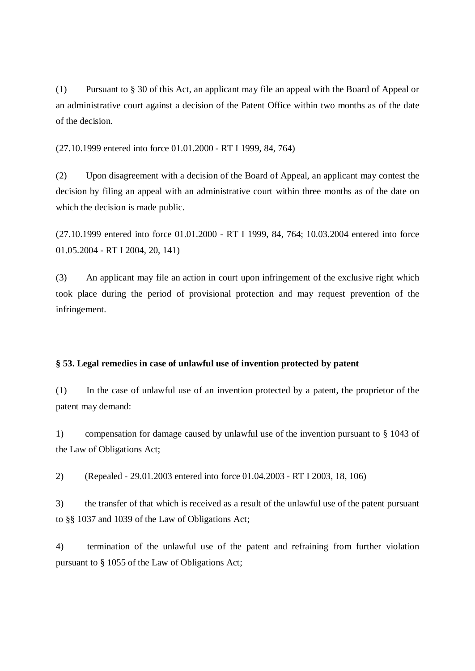(1) Pursuant to § 30 of this Act, an applicant may file an appeal with the Board of Appeal or an administrative court against a decision of the Patent Office within two months as of the date of the decision.

(27.10.1999 entered into force 01.01.2000 - RT I 1999, 84, 764)

(2) Upon disagreement with a decision of the Board of Appeal, an applicant may contest the decision by filing an appeal with an administrative court within three months as of the date on which the decision is made public.

(27.10.1999 entered into force 01.01.2000 - RT I 1999, 84, 764; 10.03.2004 entered into force 01.05.2004 - RT I 2004, 20, 141)

(3) An applicant may file an action in court upon infringement of the exclusive right which took place during the period of provisional protection and may request prevention of the infringement.

## **§ 53. Legal remedies in case of unlawful use of invention protected by patent**

(1) In the case of unlawful use of an invention protected by a patent, the proprietor of the patent may demand:

1) compensation for damage caused by unlawful use of the invention pursuant to § 1043 of the Law of Obligations Act;

2) (Repealed - 29.01.2003 entered into force 01.04.2003 - RT I 2003, 18, 106)

3) the transfer of that which is received as a result of the unlawful use of the patent pursuant to §§ 1037 and 1039 of the Law of Obligations Act;

4) termination of the unlawful use of the patent and refraining from further violation pursuant to § 1055 of the Law of Obligations Act;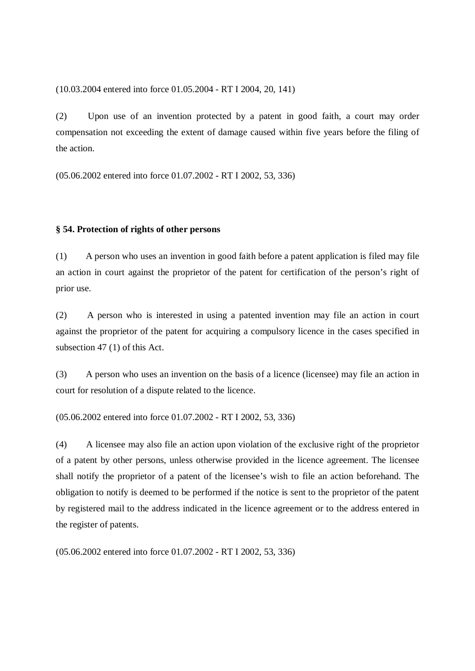(10.03.2004 entered into force 01.05.2004 - RT I 2004, 20, 141)

(2) Upon use of an invention protected by a patent in good faith, a court may order compensation not exceeding the extent of damage caused within five years before the filing of the action.

(05.06.2002 entered into force 01.07.2002 - RT I 2002, 53, 336)

## **§ 54. Protection of rights of other persons**

(1) A person who uses an invention in good faith before a patent application is filed may file an action in court against the proprietor of the patent for certification of the person's right of prior use.

(2) A person who is interested in using a patented invention may file an action in court against the proprietor of the patent for acquiring a compulsory licence in the cases specified in subsection 47 (1) of this Act.

(3) A person who uses an invention on the basis of a licence (licensee) may file an action in court for resolution of a dispute related to the licence.

(05.06.2002 entered into force 01.07.2002 - RT I 2002, 53, 336)

(4) A licensee may also file an action upon violation of the exclusive right of the proprietor of a patent by other persons, unless otherwise provided in the licence agreement. The licensee shall notify the proprietor of a patent of the licensee's wish to file an action beforehand. The obligation to notify is deemed to be performed if the notice is sent to the proprietor of the patent by registered mail to the address indicated in the licence agreement or to the address entered in the register of patents.

(05.06.2002 entered into force 01.07.2002 - RT I 2002, 53, 336)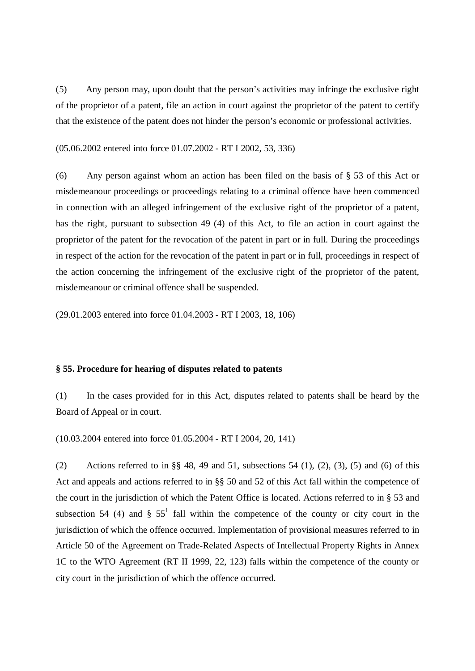(5) Any person may, upon doubt that the person's activities may infringe the exclusive right of the proprietor of a patent, file an action in court against the proprietor of the patent to certify that the existence of the patent does not hinder the person's economic or professional activities.

(05.06.2002 entered into force 01.07.2002 - RT I 2002, 53, 336)

(6) Any person against whom an action has been filed on the basis of § 53 of this Act or misdemeanour proceedings or proceedings relating to a criminal offence have been commenced in connection with an alleged infringement of the exclusive right of the proprietor of a patent, has the right, pursuant to subsection 49 (4) of this Act, to file an action in court against the proprietor of the patent for the revocation of the patent in part or in full. During the proceedings in respect of the action for the revocation of the patent in part or in full, proceedings in respect of the action concerning the infringement of the exclusive right of the proprietor of the patent, misdemeanour or criminal offence shall be suspended.

(29.01.2003 entered into force 01.04.2003 - RT I 2003, 18, 106)

## **§ 55. Procedure for hearing of disputes related to patents**

(1) In the cases provided for in this Act, disputes related to patents shall be heard by the Board of Appeal or in court.

(10.03.2004 entered into force 01.05.2004 - RT I 2004, 20, 141)

(2) Actions referred to in §§ 48, 49 and 51, subsections 54 (1), (2), (3), (5) and (6) of this Act and appeals and actions referred to in §§ 50 and 52 of this Act fall within the competence of the court in the jurisdiction of which the Patent Office is located. Actions referred to in § 53 and subsection 54 (4) and §  $55<sup>1</sup>$  fall within the competence of the county or city court in the jurisdiction of which the offence occurred. Implementation of provisional measures referred to in Article 50 of the Agreement on Trade-Related Aspects of Intellectual Property Rights in Annex 1C to the WTO Agreement (RT II 1999, 22, 123) falls within the competence of the county or city court in the jurisdiction of which the offence occurred.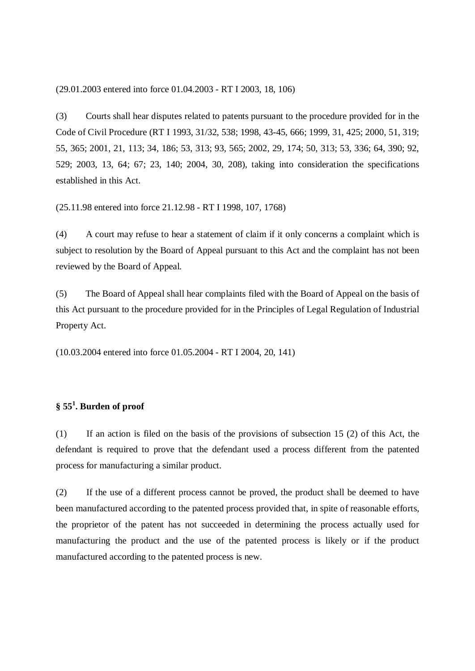(29.01.2003 entered into force 01.04.2003 - RT I 2003, 18, 106)

(3) Courts shall hear disputes related to patents pursuant to the procedure provided for in the Code of Civil Procedure (RT I 1993, 31/32, 538; 1998, 43-45, 666; 1999, 31, 425; 2000, 51, 319; 55, 365; 2001, 21, 113; 34, 186; 53, 313; 93, 565; 2002, 29, 174; 50, 313; 53, 336; 64, 390; 92, 529; 2003, 13, 64; 67; 23, 140; 2004, 30, 208), taking into consideration the specifications established in this Act.

(25.11.98 entered into force 21.12.98 - RT I 1998, 107, 1768)

(4) A court may refuse to hear a statement of claim if it only concerns a complaint which is subject to resolution by the Board of Appeal pursuant to this Act and the complaint has not been reviewed by the Board of Appeal.

(5) The Board of Appeal shall hear complaints filed with the Board of Appeal on the basis of this Act pursuant to the procedure provided for in the Principles of Legal Regulation of Industrial Property Act.

(10.03.2004 entered into force 01.05.2004 - RT I 2004, 20, 141)

## **§ 55 1 . Burden of proof**

(1) If an action is filed on the basis of the provisions of subsection 15 (2) of this Act, the defendant is required to prove that the defendant used a process different from the patented process for manufacturing a similar product.

(2) If the use of a different process cannot be proved, the product shall be deemed to have been manufactured according to the patented process provided that, in spite of reasonable efforts, the proprietor of the patent has not succeeded in determining the process actually used for manufacturing the product and the use of the patented process is likely or if the product manufactured according to the patented process is new.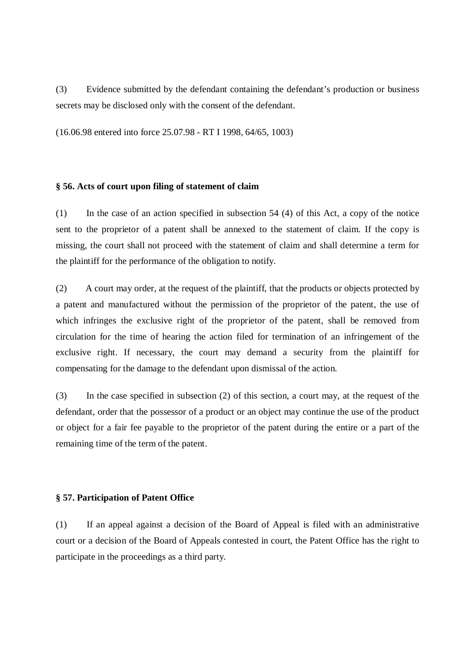(3) Evidence submitted by the defendant containing the defendant's production or business secrets may be disclosed only with the consent of the defendant.

(16.06.98 entered into force 25.07.98 - RT I 1998, 64/65, 1003)

#### **§ 56. Acts of court upon filing of statement of claim**

(1) In the case of an action specified in subsection 54 (4) of this Act, a copy of the notice sent to the proprietor of a patent shall be annexed to the statement of claim. If the copy is missing, the court shall not proceed with the statement of claim and shall determine a term for the plaintiff for the performance of the obligation to notify.

(2) A court may order, at the request of the plaintiff, that the products or objects protected by a patent and manufactured without the permission of the proprietor of the patent, the use of which infringes the exclusive right of the proprietor of the patent, shall be removed from circulation for the time of hearing the action filed for termination of an infringement of the exclusive right. If necessary, the court may demand a security from the plaintiff for compensating for the damage to the defendant upon dismissal of the action.

(3) In the case specified in subsection (2) of this section, a court may, at the request of the defendant, order that the possessor of a product or an object may continue the use of the product or object for a fair fee payable to the proprietor of the patent during the entire or a part of the remaining time of the term of the patent.

#### **§ 57. Participation of Patent Office**

(1) If an appeal against a decision of the Board of Appeal is filed with an administrative court or a decision of the Board of Appeals contested in court, the Patent Office has the right to participate in the proceedings as a third party.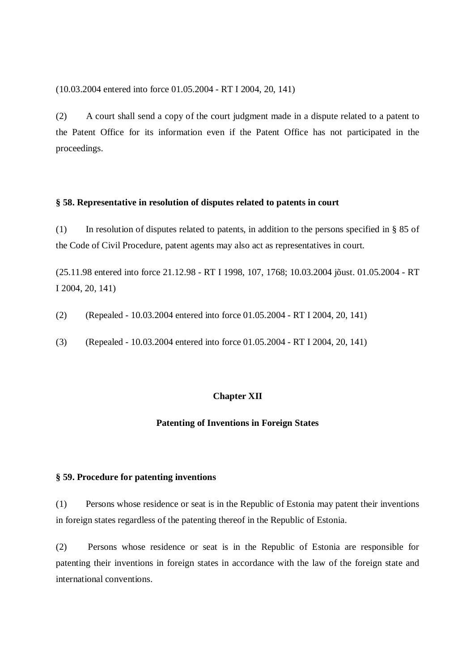(10.03.2004 entered into force 01.05.2004 - RT I 2004, 20, 141)

(2) A court shall send a copy of the court judgment made in a dispute related to a patent to the Patent Office for its information even if the Patent Office has not participated in the proceedings.

## **§ 58. Representative in resolution of disputes related to patents in court**

(1) In resolution of disputes related to patents, in addition to the persons specified in § 85 of the Code of Civil Procedure, patent agents may also act as representatives in court.

(25.11.98 entered into force 21.12.98 - RT I 1998, 107, 1768; 10.03.2004 jõust. 01.05.2004 - RT I 2004, 20, 141)

(2) (Repealed - 10.03.2004 entered into force 01.05.2004 - RT I 2004, 20, 141)

(3) (Repealed - 10.03.2004 entered into force 01.05.2004 - RT I 2004, 20, 141)

## **Chapter XII**

#### **Patenting of Inventions in Foreign States**

#### **§ 59. Procedure for patenting inventions**

(1) Persons whose residence or seat is in the Republic of Estonia may patent their inventions in foreign states regardless of the patenting thereof in the Republic of Estonia.

(2) Persons whose residence or seat is in the Republic of Estonia are responsible for patenting their inventions in foreign states in accordance with the law of the foreign state and international conventions.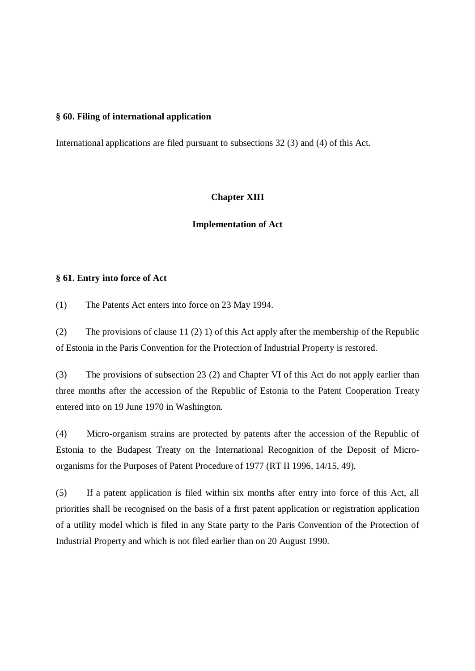#### **§ 60. Filing of international application**

International applications are filed pursuant to subsections 32 (3) and (4) of this Act.

#### **Chapter XIII**

#### **Implementation of Act**

## **§ 61. Entry into force of Act**

(1) The Patents Act enters into force on 23 May 1994.

(2) The provisions of clause 11 (2) 1) of this Act apply after the membership of the Republic of Estonia in the Paris Convention for the Protection of Industrial Property is restored.

(3) The provisions of subsection 23 (2) and Chapter VI of this Act do not apply earlier than three months after the accession of the Republic of Estonia to the Patent Cooperation Treaty entered into on 19 June 1970 in Washington.

(4) Micro-organism strains are protected by patents after the accession of the Republic of Estonia to the Budapest Treaty on the International Recognition of the Deposit of Microorganisms for the Purposes of Patent Procedure of 1977 (RT II 1996, 14/15, 49).

(5) If a patent application is filed within six months after entry into force of this Act, all priorities shall be recognised on the basis of a first patent application or registration application of a utility model which is filed in any State party to the Paris Convention of the Protection of Industrial Property and which is not filed earlier than on 20 August 1990.